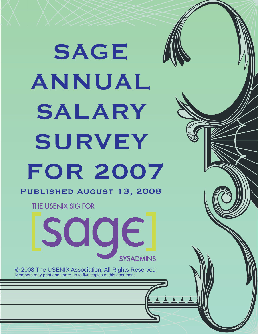# **SAGE ANNUAL SALARY SURVEY FOR 2007 Published August 13, 2008**

THE USENIX SIG FOR



© 2008 The USENIX Association, All Rights Reserved Members may print and share up to five copies of this document.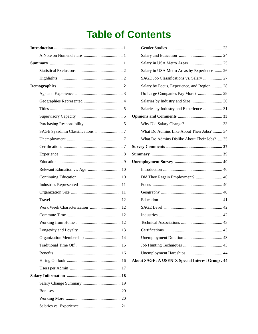# **Table of Contents**

| Work Week Characterization  12 |
|--------------------------------|
|                                |
|                                |
|                                |
|                                |
|                                |
|                                |
|                                |
|                                |
|                                |
|                                |
|                                |
|                                |
|                                |

| Salary in USA Metro Areas by Experience  26  |  |
|----------------------------------------------|--|
| SAGE Job Classifications vs. Salary  27      |  |
| Salary by Focus, Experience, and Region  28  |  |
| Do Large Companies Pay More?  29             |  |
|                                              |  |
| Salaries by Industry and Experience  31      |  |
|                                              |  |
|                                              |  |
| What Do Admins Like About Their Jobs?  34    |  |
| What Do Admins Dislike About Their Jobs?  35 |  |
|                                              |  |
|                                              |  |
|                                              |  |
|                                              |  |
|                                              |  |
| Did They Regain Employment?  40              |  |
|                                              |  |
|                                              |  |
|                                              |  |
|                                              |  |
|                                              |  |
|                                              |  |
|                                              |  |
|                                              |  |
|                                              |  |
|                                              |  |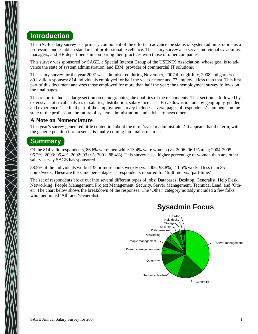## **Introduction**

The SAGE salary survey is a primary component of the efforts to advance the status of system administration as a profession and establish standards of professional excellence. The salary survey also serves individual sysadmins, managers, and HR departments in comparing their practices with those of other companies.

This survey was sponsored by SAGE, a Special Interest Group of the USENIX Association, whose goal is to advance the state of system administration, and IBM, provider of commercial IT solutions.

The salary survey for the year 2007 was administered during November, 2007 through July, 2008 and garnered 891 valid responses: 814 individuals employed for half the year or more and 77 employed less than that. This first part of this document analyzes those employed for more than half the year; the unemployment survey follows on the final pages.

This report includes a large section on demographics, the qualities of the respondents. That section is followed by extensive statistical analyses of salaries, distribution, salary increases. Breakdowns include by geography, gender, and experience. The final part of the employment survey includes several pages of respondents' comments on the state of the profession, the future of system administration, and advice to newcomers.

#### **A Note on Nomenclature**

This year's survey generated little contention about the term 'system administrator.' It appears that the term, with the generic position it represents, is finally coming into mainstream use.

## **Summary**

Of the 814 valid respondents, 86.6% were men while 13.4% were women (vs. 2006: 96.1% men; 2004-2005: 96.2%; 2003: 95.4%; 2002: 93.0%; 2001: 88.4%). This survey has a higher percentage of women than any other salary survey SAGE has sponsored.

88.5% of the individuals worked 35 or more hours weekly (vs. 2006: 93.8%). 11.5% worked less than 35 hours/week. These are the same percentages as respondents reported for 'fulltime' vs. 'part-time.'

The set of respondents broke out into several different types of jobs: Databases, Desktop, Generalist, Help Desk, Networking, People Management, Project Management, Security, Server Management, Technical Lead, and 'Other.' The chart below shows the breakdown of the responses. The 'Other' category notably included a few folks who mentioned 'All' and 'Generalist'



## **Sysadmin Focus**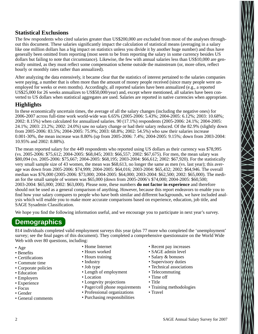#### **Statistical Exclusions**

The few respondents who cited salaries greater than US\$200,000 are excluded from most of the analyses throughout this document. These salaries significantly impact the calculation of statistical means (averaging in a salary like one million dollars has a big impact on statistics unless you divide it by another huge number) and thus have generally been omitted from reporting (most seem to be from reporting the salary in some currency besides US dollars but failing to note that circumstance). Likewise, the few with annual salaries less than US\$10,000 are generally omitted, as they must reflect some compensation scheme outside the mainstream (or, more often, reflect hourly or monthly rates rather than annualized).

After analyzing the data extensively, it became clear that the statistics of interest pertained to the salaries companies were paying, a number that is often more than the amount of money people received (since many people were unemployed for weeks or even months). Accordingly, all reported salaries have been annualized (e.g., a reported US\$25,000 for 26 weeks annualizes to US\$50,000/year) and, except where mentioned, all salaries have been converted to US dollars when statistical aggregates are used. Salaries are reported in native currencies when appropriate.

#### **Highlights**

In these economically uncertain times, the average of all the salary changes (including the negative ones) for 2006-2007 across full-time work world-wide was 6.65% (2005-2006: 5.43%; 2004-2005: 6.12%; 2003: 10.68%; 2002: 8.15%) when calculated for annualized salaries. 90 (17.1%) respondents (2005-2006: 24.1%; 2004-2005: 24.1%; 2003: 23.2%; 2002: 24.0%) saw no salary change or had their salary reduced. Of the 82.9% (slightly down from 2005-2006: 83.5%; 2004-2005: 75.9%; 2003: 68.8%; 2002: 54.5%) who saw their salaries increase 0.001-30%, the mean increase was 8.80% (up from 2005-2006: 7.4%; 2004-2005: 9.15%; down from 2003-2004: 10.95% and 2002: 8.88%).

The mean reported salary for the 449 respondents who reported using US dollars as their currency was \$78,995 (vs. 2005-2006: \$75,612; 2004-2005: \$68,045; 2003: \$66,557; 2002: \$67,675). For men, the mean salary was \$80,094 (vs. 2005-2006: \$75,667; 2004-2005: \$68,195; 2003-2004: \$66,612; 2002: \$67,920). For the statistically very small sample size of 43 women, the mean was \$68,613, no longer the same as men (vs. last year); this average was down from 2005-2006: \$74,999; 2004-2005: \$64,016; 2003-2004: \$65,432; 2002: \$64,946. The overall median was \$76,000 (2005-2006: \$73,000; 2004-2005: \$64,000; 2003-2004: \$62,500; 2002: \$65,000). The median for the small sample of women was \$65,000 (down from 2005-2006's \$74,000; 2004-2005: \$60,500; 2003-2004: \$65,000; 2002: \$63,000). Please note, these numbers **do not factor in experience** and therefore should not be used as a general comparison of anything. However, because this report endeavors to enable you to find how your salary compares to people who have both similar and different backgrounds, we have included analysis which will enable you to make more accurate comparisons based on experience, education, job title, and SAGE Sysadmin Classification.

We hope you find the following information useful, and we encourage you to participate in next year's survey.

## **Demographics**

814 individuals completed valid employment surveys this year (plus 77 more who completed the 'unemployment' survey; see the final pages of this document). They completed a comprehensive questionnaire on the World Wide Web with over 80 questions, including:

- Age
- Benefits
- Certifications
- Commute time
- Corporate policies
- Education
- Employers
- Experience
- Focus
- Gender
- General comments
- Home Internet
- Hours worked
- Hours training
- Industry
- Job type
- Length of employment
- Location
- Longevity projections
- Pager/cell phone requirements
- Professional organizations
- Purchasing responsibilities
- Recent pay increases
- SAGE admin level
- Salary & bonuses
- Supervisory duties
- Technical associations
- Telecommuting
- Time off
- Title
- Training methodologies
- Travel

 $\sum_{i=1}^{n}$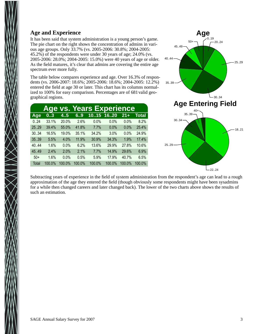#### **Age and Experience**

It has been said that system administration is a young person's game. The pie chart on the right shows the concentration of admins in various age groups. Only 33.7% (vs. 2005-2006: 30.8%; 2004-2005: 45.2%) of the respondents were under 30 years of age; 24.0% (vs. 2005-2006: 28.0%; 2004-2005: 15.0%) were 40 years of age or older. As the field matures, it's clear that admins are covering the entire age spectrum ever more fully.

The table below compares experience and age. Over 16.3% of respondents (vs. 2006-2007: 18.6%; 2005-2006: 18.6%; 2004-2005: 12.2%) entered the field at age 30 or later. This chart has its columns normalized to 100% for easy comparison. Percentages are of 681 valid geographical regions.

|       |        |        |        | <b>Age vs. Years Experience</b> |        |        |              |
|-------|--------|--------|--------|---------------------------------|--------|--------|--------------|
| Age   | 03     | 4.5    | 6.9    | 1015 1620                       |        | $21 +$ | <b>Total</b> |
| 0.24  | 33.1%  | 20.0%  | 2.6%   | 0.0%                            | 0.0%   | 0.0%   | 8.2%         |
| 25.29 | 39.4%  | 55.0%  | 41.8%  | 7.7%                            | 0.0%   | 0.0%   | 25.4%        |
| 30.34 | 16.5%  | 19.0%  | 35.1%  | 34.2%                           | 3.0%   | 0.0%   | 24.9%        |
| 35.39 | 5.5%   | 4.0%   | 11.9%  | 30.9%                           | 34.3%  | 1.9%   | 17.4%        |
| 40.44 | 1.6%   | 0.0%   | 6.2%   | 13.6%                           | 29.9%  | 27.8%  | 10.6%        |
| 45.49 | 2.4%   | 2.0%   | 2.1%   | 7.7%                            | 14.9%  | 29.6%  | 6.9%         |
| $50+$ | 1.6%   | 0.0%   | 0.5%   | 5.9%                            | 17.9%  | 40.7%  | 6.5%         |
| Total | 100.0% | 100.0% | 100.0% | 100.0%                          | 100.0% | 100.0% | 100.0%       |



Subtracting years of experience in the field of system administration from the respondent's age can lead to a rough approximation of the age they entered the field (though obviously some respondents might have been sysadmins for a while then changed careers and later changed back). The lower of the two charts above shows the results of such an estimation.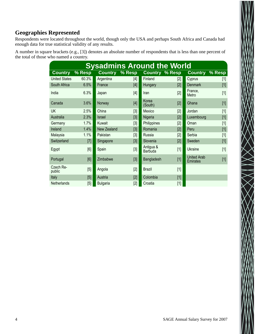#### **Geographies Represented**

Respondents were located throughout the world, though only the USA and perhaps South Africa and Canada had enough data for true statistical validity of any results.

A number in square brackets (e.g., [3]) denotes an absolute number of respondents that is less than one percent of the total of those who named a country.

| <b>Sysadmins Around the World</b> |        |                    |        |                             |       |                                       |        |  |  |  |
|-----------------------------------|--------|--------------------|--------|-----------------------------|-------|---------------------------------------|--------|--|--|--|
| <b>Country</b>                    | % Resp | <b>Country</b>     | % Resp | <b>Country % Resp</b>       |       | <b>Country</b>                        | % Resp |  |  |  |
| <b>United States</b>              | 60.3%  | Argentina          | $[4]$  | Finland                     | $[2]$ | Cyprus                                | $[1]$  |  |  |  |
| South Africa                      | 6.5%   | France             | [4]    | Hungary                     | [2]   | <b>Denmark</b>                        | $[1]$  |  |  |  |
| India                             | 6.3%   | Japan              | $[4]$  | Iran                        | $[2]$ | France.<br>Metro                      | $[1]$  |  |  |  |
| Canada                            | 3.6%   | Norway             | $[4]$  | Korea<br>(South)            | [2]   | Ghana                                 | $[1]$  |  |  |  |
| <b>UK</b>                         | 2.5%   | China              | $[3]$  | Mexico                      | $[2]$ | Jordan                                | $[1]$  |  |  |  |
| Australia                         | 2.3%   | <b>Israel</b>      | [3]    | Nigeria                     | [2]   | Luxembourg                            | $[1]$  |  |  |  |
| Germany                           | 1.7%   | Kuwait             | $[3]$  | Philippines                 | $[2]$ | Oman                                  | $[1]$  |  |  |  |
| Ireland                           | 1.4%   | <b>New Zealand</b> | [3]    | Romania                     | [2]   | Peru                                  | $[1]$  |  |  |  |
| Malaysia                          | 1.1%   | Pakistan           | $[3]$  | Russia                      | $[2]$ | Serbia                                | $[1]$  |  |  |  |
| Switzerland                       | $[7]$  | Singapore          | $[3]$  | Slovenia                    | [2]   | Sweden                                | $[1]$  |  |  |  |
| Egypt                             | [6]    | Spain              | $[3]$  | Antigua &<br><b>Barbuda</b> | $[1]$ | <b>Ukraine</b>                        | $[1]$  |  |  |  |
| Portugal                          | [6]    | Zimbabwe           | [3]    | Bangladesh                  | $[1]$ | <b>United Arab</b><br><b>Emirates</b> | $[1]$  |  |  |  |
| Czech Re-<br>public               | [5]    | Angola             | $[2]$  | <b>Brazil</b>               | $[1]$ |                                       |        |  |  |  |
| Italy                             | [5]    | Austria            | [2]    | Colombia                    | $[1]$ |                                       |        |  |  |  |
| Netherlands                       | $[5]$  | <b>Bulgaria</b>    | $[2]$  | Croatia                     | $[1]$ |                                       |        |  |  |  |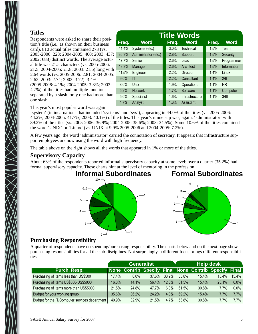#### **Titles**

Respondents were asked to share their position's title (i.e., as shown on their business card). 810 actual titles contained 273 (vs. 2005-2006: 228; 2004-2005: 400; 2003: 437; 2002: 688) distinct words. The average actual title was 21.5 characters (vs. 2005-2006: 21.5; 2004-2005: 21.8; 2003: 21.6) long with 2.64 words (vs. 2005-2006: 2.81; 2004-2005: 2.62; 2003: 2.74; 2002: 3.72). 3.4% (2005-2006: 4.1%; 2004-2005: 3.3%; 2003: 4.7%) of the titles had multiple functions separated by a slash; only one had more than one slash.

| <b>Title Words</b> |                      |       |                   |       |             |  |  |  |  |  |
|--------------------|----------------------|-------|-------------------|-------|-------------|--|--|--|--|--|
| Freq.              | <b>Word</b>          | Freq. | <b>Word</b>       | Freq. | <b>Word</b> |  |  |  |  |  |
| 41.4%              | Systems (etc.)       | 3.0%  | Technical         | 1.5%  | Team        |  |  |  |  |  |
| 36.3%              | Administrator (etc.) | 2.8%  | Support           | 1.5%  | Security    |  |  |  |  |  |
| 17.7%              | Senior               | 2.6%  | Lead              | 1.5%  | Programmer  |  |  |  |  |  |
| 13.3%              | Manager              | 2.6%  | Architect         | 1.5%  | Information |  |  |  |  |  |
| 11.5%              | Engineer             | 2.2%  | Director          | 1.4%  | Linux       |  |  |  |  |  |
| 9.0%               | ΙT                   | 2.2%  | Consultant        | 1.4%  | 2/II        |  |  |  |  |  |
| 8.6%               | <b>Unix</b>          | 1.9%  | <b>Operations</b> | 1.1%  | <b>HR</b>   |  |  |  |  |  |
| 5.2%               | <b>Network</b>       | 1.7%  | Software          | 1.1%  | Computer    |  |  |  |  |  |
| 5.0%               | Specialist           | 1.6%  | Infrastructure    | 1.1%  | 3/111       |  |  |  |  |  |
| 4.7%               | Analyst              | 1.6%  | Assistant         |       |             |  |  |  |  |  |

This year's most popular word was again

'system' (in incarnations that included 'systems' and 'sys'), appearing in 44.0% of the titles (vs. 2005-2006: 44.2%; 2004-2005: 41.7%; 2003: 40.1%) of the titles. This year's runner-up was, again, 'administrator' with 39.2% of the titles (vs. 2005-2006: 36.9%; 2004-2005: 35.6%; 2003: 34.5%). Some 10.6% of the titles contained the word 'UNIX' or 'Linux' (vs. UNIX at 9.9% 2005-2006 and 2004-2005: 7.2%).

A few years ago, the word 'administrator' carried the connotation of secretary. It appears that infrastructure support employees are now using the word with high frequency.

The table above on the right shows all the words that appeared in 1% or more of the titles.

#### **Supervisory Capacity**

About 63% of the respondents reported informal supervisory capacity at some level; over a quarter (35.2%) had formal supervisory capacity. These charts hint at the level of mentoring in the profession.



#### **Purchasing Responsibility**

A quarter of respondents have no spending/purchasing responsibility. The charts below and on the next page show purchasing responsibilities for all the sub-disciplines. Not surprisingly, a different focus brings different responsibilities.

|                                                | Generalist |         |                                                       |       | <b>Help desk</b> |       |          |          |
|------------------------------------------------|------------|---------|-------------------------------------------------------|-------|------------------|-------|----------|----------|
| Purch. Resp.                                   |            |         | None Contrib Specify Final None Contrib Specify Final |       |                  |       |          |          |
| Purchasing of items less than US\$500          | 17.4%      | $6.0\%$ | $37.6\%$                                              | 38.9% | 53.8%            | 15.4% | $15.4\%$ | $15.4\%$ |
| Purchasing of items US\$500-US\$5000           | 16.8%      | 14.1%   | 56.4%                                                 | 12.8% | 61.5%            | 15.4% | 23.1%    | $0.0\%$  |
| Purchasing of items more than US\$5000         | 21.5%      | 24.8%   | 47.7%                                                 | 6.0%  | 61.5%            | 30.8% | 7.7%     | $0.0\%$  |
| Budget for your working group                  | 35.6%      | 36.2%   | 24.2%                                                 | 4.0%  | 69.2%            | 15.4% | 7.7%     | 7.7%     |
| Budget for the IT/Computer services department | 40.9%      | 32.9%   | 21.5%                                                 | 4.7%  | 53.8%            | 30.8% | 7.7%     | 7.7%     |

0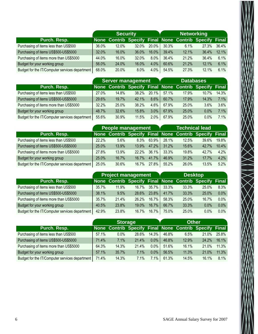|                                                | <b>Security</b> |       |                                                       |          | <b>Networking</b> |       |       |       |
|------------------------------------------------|-----------------|-------|-------------------------------------------------------|----------|-------------------|-------|-------|-------|
| Purch. Resp.                                   |                 |       | None Contrib Specify Final None Contrib Specify Final |          |                   |       |       |       |
| Purchasing of items less than US\$500          | 36.0%           | 12.0% | $32.0\%$                                              | $20.0\%$ | 30.3%             | 6.1%  | 27.3% | 36.4% |
| Purchasing of items US\$500-US\$5000           | 32.0%           | 16.0% | 36.0%                                                 | 16.0%    | 39.4%             | 12.1% | 36.4% | 12.1% |
| Purchasing of items more than US\$5000         | 44.0%           | 16.0% | 32.0%                                                 | 8.0%     | 36.4%             | 21.2% | 36.4% | 6.1%  |
| Budget for your working group                  | 56.0%           | 24.0% | 16.0%                                                 | 4.0%     | 60.6%             | 21.2% | 12.1% | 6.1%  |
| Budget for the IT/Computer services department | 68.0%           | 20.0% | 8.0%                                                  | 4.0%     | 54.5%             | 27.3% | 12.1% | 6.1%  |

|                                                |       |       | <b>Server management</b>                              | <b>Databases</b> |       |       |       |       |
|------------------------------------------------|-------|-------|-------------------------------------------------------|------------------|-------|-------|-------|-------|
| Purch. Resp.                                   |       |       | None Contrib Specify Final None Contrib Specify Final |                  |       |       |       |       |
| Purchasing of items less than US\$500          | 27.0% | 14.8% | 38.2%                                                 | $20.1\%$         | 57.1% | 17.9% | 10.7% | 14.3% |
| Purchasing of items US\$500-US\$5000           | 29.6% | 19.7% | 42.1%                                                 | 8.6%             | 60.7% | 17.9% | 14.3% | 7.1%  |
| Purchasing of items more than US\$5000         | 32.2% | 25.0% | 38.2%                                                 | $4.6\%$          | 67.9% | 25.0% | 3.6%  | 3.6%  |
| Budget for your working group                  | 48.7% | 32.6% | 15.8%                                                 | 3.0%             | 67.9% | 25.0% | 0.0%  | 7.1%  |
| Budget for the IT/Computer services department | 55.6% | 30.9% | 11.5%                                                 | $2.0\%$          | 67.9% | 25.0% | 0.0%  | 7.1%  |

|                                                |       |         | <b>People management</b>                              |       | <b>Technical lead</b> |       |       |         |
|------------------------------------------------|-------|---------|-------------------------------------------------------|-------|-----------------------|-------|-------|---------|
| Purch. Resp.                                   |       |         | None Contrib Specify Final None Contrib Specify Final |       |                       |       |       |         |
| Purchasing of items less than US\$500          | 22.2% | $5.6\%$ | $8.3\%$                                               | 63.9% | 28.1%                 | 12.5% | 39.6% | 19.8%   |
| Purchasing of items US\$500-US\$5000           | 25.0% | 13.9%   | $13.9\%$                                              | 47.2% | 31.2%                 | 15.6% | 42.7% | 10.4%   |
| Purchasing of items more than US\$5000         | 27.8% | 13.9%   | $22.2\%$                                              | 36.1% | 33.3%                 | 19.8% | 42.7% | $4.2\%$ |
| Budget for your working group                  | 25.0% | 16.7%   | $16.7\%$                                              | 41.7% | 46.9%                 | 31.2% | 17.7% | 4.2%    |
| Budget for the IT/Computer services department | 25.0% | 30.6%   | 16.7%                                                 | 27.8% | 55.2%                 | 26.0% | 13.5% | 5.2%    |

|                                                |       |       | <b>Project management</b>                             |                | <b>Desktop</b> |       |       |         |
|------------------------------------------------|-------|-------|-------------------------------------------------------|----------------|----------------|-------|-------|---------|
| Purch. Resp.                                   |       |       | None Contrib Specify Final None Contrib Specify Final |                |                |       |       |         |
| Purchasing of items less than US\$500          | 35.7% | 11.9% |                                                       | $16.7\%$ 35.7% | 33.3%          | 33.3% | 25.0% | $8.3\%$ |
| Purchasing of items US\$500-US\$5000           | 38.1% | 9.5%  | 28.6%                                                 | $23.8\%$       | 41.7%          | 33.3% | 25.0% | $0.0\%$ |
| Purchasing of items more than US\$5000         | 35.7% | 21.4% | $26.2\%$                                              | $16.7\%$       | 58.3%          | 25.0% | 16.7% | $0.0\%$ |
| Budget for your working group                  | 40.5% | 23.8% | $19.0\%$                                              | $16.7\%$       | 66.7%          | 33.3% | 0.0%  | 0.0%    |
| Budget for the IT/Computer services department | 42.9% | 23.8% | 16.7%                                                 | $16.7\%$       | 75.0%          | 25.0% | 0.0%  | $0.0\%$ |

|                                                | <b>Storage</b> |         |                                                       |          | <b>Other</b> |       |       |       |
|------------------------------------------------|----------------|---------|-------------------------------------------------------|----------|--------------|-------|-------|-------|
| Purch. Resp.                                   |                |         | None Contrib Specify Final None Contrib Specify Final |          |              |       |       |       |
| Purchasing of items less than US\$500          | 57.1%          | $0.0\%$ | 28.6%                                                 | $14.3\%$ | 46.8%        | 6.5%  | 21.0% | 25.8% |
| Purchasing of items US\$500-US\$5000           | 71.4%          | 7.1%    | $21.4\%$                                              | $0.0\%$  | 46.8%        | 12.9% | 24.2% | 16.1% |
| Purchasing of items more than US\$5000         | 64.3%          | 14.3%   | 21.4%                                                 | $0.0\%$  | 51.6%        | 16.1% | 21.0% | 11.3% |
| Budget for your working group                  | 57.1%          | 35.7%   | 7.1%                                                  | $0.0\%$  | 56.5%        | 11.3% | 21.0% | 11.3% |
| Budget for the IT/Computer services department | 71.4%          | 14.3%   | 7.1%                                                  | $7.1\%$  | 61.3%        | 14.5% | 16.1% | 8.1%  |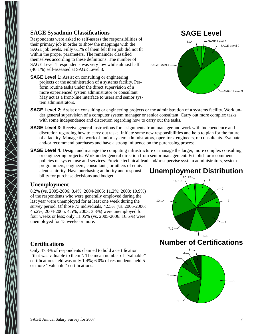#### **SAGE Sysadmin Classifications**

Respondents were asked to self-assess the responsibilities of their primary job in order to show the mappings with the SAGE job levels. Fully 6.1% of them felt their job did not fit within the proper parameters. The remainder classified themselves according to these definitions. The number of SAGE Level 1 respondents was very low while almost half (46.1%) self-assessed at SAGE Level 3.

**SAGE Level 1:** Assist on consulting or engineering projects or the administration of a systems facility. Perform routine tasks under the direct supervision of a more experienced system administrator or consultant. May act as a front-line interface to users and senior system administrators.



- **SAGE Level 2**: Assist on consulting or engineering projects or the administration of a systems facility. Work under general supervision of a computer system manager or senior consultant. Carry out more complex tasks with some independence and discretion regarding how to carry out the tasks.
- **SAGE Level 3**: Receive general instructions for assignments from manager and work with independence and discretion regarding how to carry out tasks. Initiate some new responsibilities and help to plan for the future of a facility. Manage the work of junior system administrators, operators, engineers, or consultants. Evaluate and/or recommend purchases and have a strong influence on the purchasing process.
- **SAGE Level 4**: Design and manage the computing infrastructure or manage the larger, more complex consulting or engineering projects. Work under general direction from senior management. Establish or recommend policies on system use and services. Provide technical lead and/or supervise system administrators, system

programmers, engineers, consultants, or others of equivalent seniority. Have purchasing authority and responsibility for purchase decisions and budget.

#### **Unemployment**

8.2% (vs. 2005-2006: 8.4%; 2004-2005: 11.2%; 2003: 10.9%) of the respondents who were generally employed during the last year were unemployed for at least one week during the survey period. Of those 73 individuals, 42.5% (vs. 2005-2006: 45.2%; 2004-2005: 4.5%; 2003: 3.3%) were unemployed for four weeks or less; only 11.05% (vs. 2005-2006: 16.6%) were unemployed for 15 weeks or more.

## **Unemployment Distribution**



1

#### **Certifications**

Only 47.8% of respondents claimed to hold a certification ''that was valuable to them''. The mean number of ''valuable'' certifications held was only 1.4%; 6.0% of respondents held 5 or more ''valuable'' certifications.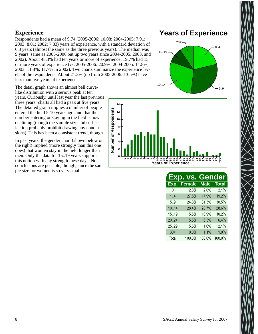#### **Experience**

Respondents had a mean of 9.74 (2005-2006: 10.08; 2004-2005: 7.91; 2003: 8.01; 2002: 7.83) years of experience, with a standard deviation of 6.3 years (almost the same as the three previous years). The median was 9 years, same as 2005-2006 but up two years since 2004-2005, 2003, and 2002). About 48.3% had ten years or more of experience; 19.7% had 15 or more years of experience (vs. 2005-2006: 20.9%; 2004-2005: 11.8%; 2003: 11.8%; 11.7% in 2002). Two charts summarize the experience levels of the respondents. About 21.3% (up from 2005-2006: 13.5%) have less than five years of experience.

The detail graph shows an almost bell curvelike distribution with a serious peak at ten years. Curiously, until last year the last previous three years' charts all had a peak at five years. The detailed graph implies a number of people entered the field 5-10 years ago, and that the number entering or staying in the field is now declining (though the sample size and self-selection probably prohibit drawing any conclusions). This has been a consistent trend, though.

In past years, the gender chart (shown below on the right) implied (more strongly than this one does) that women stay in the field longer than men. Only the data for 15..19 years supports this notion with any strength these days. No conclusions are possible, though, since the sample size for women is so very small.

## **Years of Experience**





|       | Exp. vs.      | <b>Gender</b> |              |
|-------|---------------|---------------|--------------|
| Exp.  | <b>Female</b> | <b>Male</b>   | <b>Total</b> |
| 0     | 2.8%          | 2.0%          | 2.1%         |
| 1.4   | 27.5%         | 17.9%         | 19.2%        |
| 5.9   | 24.8%         | 31.3%         | 30.5%        |
| 10.14 | 28.4%         | 28.7%         | 28.6%        |
| 1519  | 5.5%          | 10.9%         | 10.2%        |
| 2024  | 5.5%          | 6.5%          | 6.4%         |
| 25.29 | 5.5%          | 1.6%          | 2.1%         |
| $30+$ | 0.0%          | 1.1%          | 1.0%         |
| Total | 100.0%        | 100.0%        | 100.0%       |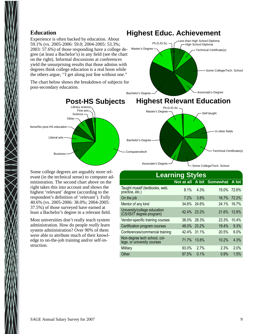#### **Education**

Experience is often backed by education. About 59.1% (vs. 2005-2006: 59.0; 2004-2005: 53.3%; 2003: 57.6%) of those responding have a college degree (at least a Bachelor's) in any field (see the chart on the right). Informal discussions at conferences yield the unsurprising results that those admins with degrees think college education is a real boon while the others argue, ''I get along just fine without one.''

The chart below shows the breakdown of subjects for post-secondary education.



Master's Degree

Some college degrees are arguably more relevant (in the technical sense) to computer administration. The second chart above on the right takes this into account and shows the highest 'relevant' degree (according to the respondent's definition of 'relevant'). Fully 40.6% (vs. 2005-2006: 38.0%; 2004-2005: 37.5%) of those surveyed have earned at least a Bachelor's degree in a relevant field.

Most universities don't really teach system administration. How do people *really* learn system administration? Over 90% of them were able to attribute much of their knowledge to on-the-job training and/or self-instruction.

#### **Learning Styles Not at all A bit Somewhat A lot** Taught myself (textbooks, web, Practice, etc.) **15.0%** 15.0% 15.0% 12.6%<br>
Practice, etc.) On the job 7.2% 3.8% 16.7% 72.2% Mentor of any kind 34.6% 24.6% 24.1% 16.7% University/college education University/College education<br>(CS/IS/IT degree program) 42.4% 23.2% 21.6% 12.8% Vendor-specific training courses 38.0% 28.3% 23.3% 10.4% Certification program courses 48.0% 23.2% 19.4% 9.3% Conferences/commercial training 42.4% 31.1% 20.5% 6.0% Non-degree tech school, college, or university courses 71.7% 13.8% 10.2% 4.3% Military 93.0% 2.7% 2.3% 2.0% Other 97.5% 0.1% 0.9% 1.5%

## **Highest Educ. Achievement**

Ph.D./D.Sc.

Some College/Tech. School

Technical Certificate(s)

High School Diploma ess than High School Diploma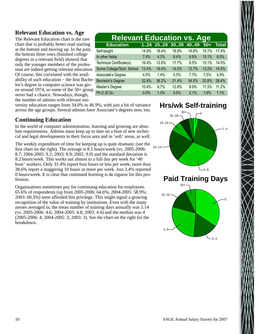#### **Relevant Education vs. Age**

The Relevant Education chart is the rare chart that is probably better read starting at the bottom and moving up. In the past, the bottom three rows (finished college degrees in a relevant field) showed that only the younger members of the profession are indeed getting relevant education. Of course, this correlated with the availability of such education − the first Bachelor's degree in computer science was given around 1974, so some of the 50+ group never had a chance. Nowadays, though, the number of admins with relevant uni-

| <b>Relevant Education vs. Age</b> |       |          |       |       |              |  |  |  |  |
|-----------------------------------|-------|----------|-------|-------|--------------|--|--|--|--|
|                                   |       | 3039     | 4049  | $50+$ | <b>Total</b> |  |  |  |  |
| 14.9%                             | 18.4% | 18.8%    | 14.8% | 15.1% | 17.4%        |  |  |  |  |
| 7.5%                              | 4.3%  | 8.4%     | 9.9%  | 15.1% | 8.0%         |  |  |  |  |
| 16.4%                             | 12.6% | 17.7%    | 8.5%  | 15.1% | 14.5%        |  |  |  |  |
| 13.4%                             | 16.4% | 14.5%    | 12.7% | 13.2% | 14.5%        |  |  |  |  |
| 4.5%                              | 1.4%  | 5.5%     | 7.7%  | 7.5%  | 4.9%         |  |  |  |  |
| 32.8%                             | 36.2% | 21.4%    | 34.5% | 20.8% | 28.4%        |  |  |  |  |
| 10.4%                             | 9.7%  | 12.8%    | 9.9%  | 11.3% | 11.2%        |  |  |  |  |
| 0.0%                              | 1.0%  | 0.9%     | 2.1%  | 1.9%  | 1.1%         |  |  |  |  |
|                                   |       | 124 2529 |       |       |              |  |  |  |  |

versity education ranges from 34.0% to 46.9%, with just a bit of variance across the age groups. Several admins have Associate's degrees now, too.

#### **Continuing Education**

In the world of computer administration, learning and growing are absolute requirements. Admins must keep up to date on a host of new technical and legal developments in their focus area and in 'soft' areas, as well.

The weekly expenditure of time for keeping up is quite dramatic (see the first chart on the right). The average is  $\overline{8.5}$  hours/week (vs. 2005-2006: 8.7; 2004-2005: 9.2; 2003: 8.9; 2002: 9.0) and the standard deviation is 8.2 hours/week. This works out almost to a full day per week for '40 hour' workers. Only 31.4% report four hours or less per week; more than 38.6% report a staggering 10 hours or more per week. Just 3.4% reported 0 hours/week. It is clear that continued learning is de rigueur for this profession.

Organizations sometimes pay for continuing education for employees. 65.6% of respondents (up from 2005-2006: 64.6%; 2004-2005: 58.9%; 2003: 60.3%) were afforded this privilege. This might signal a growing recognition of the value of training by institutions. Even with the many zeroes averaged in, the mean number of training days annually was 5.14 (vs. 2005-2006: 4.6; 2004-2005: 4.8; 2003: 4.4) and the median was 4 (2005-2006: 4; 2004-2005: 3; 2003: 3). See the chart on the right for the breakdown.

## **Hrs/wk Self-training**

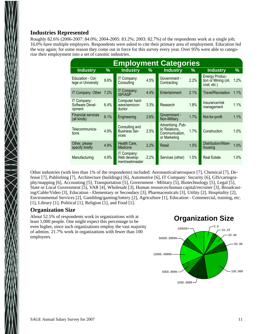#### **Industries Represented**

Roughly 82.6% (2006-2007: 84.0%; 2004-2005: 83.2%; 2003: 82.7%) of the respondents work at a single job; 16.0% have multiple employers. Respondents were asked to cite their primary area of employment. Education led the way again; for some reason they come out in force for this survey every year. Over 95% were able to categorize their employment into a set of canonic industries.

| <b>Employment Categories</b>             |      |                                                 |      |                                                                       |      |                                                              |         |  |  |
|------------------------------------------|------|-------------------------------------------------|------|-----------------------------------------------------------------------|------|--------------------------------------------------------------|---------|--|--|
| <b>Industry</b>                          | %    | <b>Industry</b>                                 | $\%$ | <b>Industry</b>                                                       | $\%$ | <b>Industry</b>                                              | %       |  |  |
| Education - Col-<br>lege or University   | 9.6% | IT Company:<br>Consulting                       | 4.5% | Government -<br>Contracting                                           | 2.2% | <b>Energy Produc-</b><br>tion or Mining (oil,<br>coal, etc.) | $1.2\%$ |  |  |
| IT Company: Other                        | 7.2% | IT Company:<br><b>ISP/ASP</b>                   | 4.4% | Entertainment                                                         | 2.1% | <b>Travel/Recreation</b>                                     | $1.1\%$ |  |  |
| IT Company:<br>Software Devel-<br>opment | 6.4% | Computer hard-<br>ware/semicon-<br>ductor       | 3.3% | Research                                                              | 1.8% | Insurance/risk<br>management                                 | 1.1%    |  |  |
| <b>Financial services</b><br>(all kinds) | 6.1% | Engineering                                     | 2.6% | Government -<br>Non-Military                                          | 1.7% | Not-for-profit                                               | 1.1%    |  |  |
| Telecommunica-<br>tions                  | 4.9% | Consulting and<br><b>Business Ser-</b><br>vices | 2.5% | Advertising, Pub-<br>lic Relations,<br>Communication.<br>or Marketing | 1.7% | Construction                                                 | 1.0%    |  |  |
| Other, please<br>specify briefly         | 4.9% | Health Care,<br>Medicine                        | 2.2% | Retail                                                                | 1.5% | Distribution/Ware-<br>housing                                | 1.0%    |  |  |
| Manufacturing                            | 4.9% | IT Company:<br>Web develop-<br>ment/webmaster   | 2.2% | Services (other)                                                      | 1.5% | <b>Real Estate</b>                                           | 1.0%    |  |  |

Other industries (with less than 1% of the respondents) included: Aeronautical/aerospace [7], Chemical [7], Defense [7], Publishing [7], Architecture (buildings) [6], Automotive [6], IT Company: Security [6], GIS/cartography/mapping [6], Accounting [5], Transportation [5], Government - Military [5], Biotechnology [5], Legal [5], State or Local Government [5], VAR [4], Wholesale [3], Human resources/human capital/recruiter [3], Broadcasting/Cable/Video [3], Education - Elementary or Secondary [3], Pharmaceuticals [3], Utility [2], Hospitality [2], Environmental Services [2], Gambling/gaming/lottery [2], Agriculture [1], Education - Commercial, training, etc. [1], Library [1], Political [1], Religion [1], and Food [1].

#### **Organization Size**

About 52.5% of respondents work in organizations with at least 1,000 people. One might expect this percentage to be even higher, since such organizations employ the vast majority of admins. 21.7% work in organizations with fewer than 100 employees.

## **Organization Size**

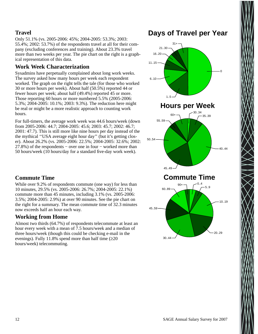#### **Travel**

Only 51.1% (vs. 2005-2006: 45%; 2004-2005: 53.3%; 2003: 55.4%; 2002: 53.7%) of the respondents travel at all for their company (excluding conferences and training). About 23.3% travel more than two weeks per year. The pie chart on the right is a graphical representation of this data.

#### **Work Week Characterization**

Sysadmins have perpetually complained about long work weeks. The survey asked how many hours per week each respondent worked. The graph on the right tells the tale (for those who worked 30 or more hours per week). About half (50.5%) reported 44 or fewer hours per week; about half (49.4%) reported 45 or more. Those reporting 60 hours or more numbered 5.5% (2005-2006: 5.3%; 2004-2005: 10.1%; 2003: 9.3%). The reduction here might be real or might be a more realistic approach to counting work hours.

For full-timers, the average work week was 44.6 hours/week (down from 2005-2006: 44.7; 2004-2005: 45.6; 2003: 45.7; 2002: 46.7; 2001: 47.7). This is still more like nine hours per day instead of the the mythical ''USA average eight hour day'' (but it's getting closer). About 26.2% (vs. 2005-2006: 22.5%; 2004-2005: 32.6%; 2002: 27.8%) of the respondents – over one in four – worked more than 50 hours/week (10 hours/day for a standard five-day work week).



#### **Commute Time**

While over 9.2% of respondents commute (one way) for less than 10 minutes, 29.5% (vs. 2005-2006: 26.7%; 2004-2005: 22.1%) commute more than 45 minutes, including 3.1% (vs. 2005-2006: 3.5%; 2004-2005: 2.9%) at over 90 minutes. See the pie chart on the right for a summary. The mean commute time of 32.3 minutes now exceeds half an hour each way.

#### **Working from Home**

Almost two thirds (64.7%) of respondents telecommute at least an hour every week with a mean of 7.5 hours/week and a median of three hours/week (though this could be checking e-mail in the evenings). Fully 11.8% spend more than half time  $(\geq 20)$ hours/week) telecommuting.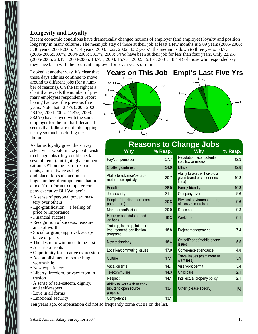#### **Longevity and Loyalty**

Recent economic conditions have dramatically changed notions of employer (and employee) loyalty and position longevity in many cultures. The mean job stay of those at their job at least a few months is 5.09 years (2005-2006: 5.46 years; 2004-2005: 4.14 years; 2003: 4.22; 2002: 4.32 years); the median is down to three years. 53.7% (2005-2006:53.6%; 2004-2005: 53.1%; 2003: 54%) have been at their job for less than four years. Only 22.2% (2005-2006: 28.1%; 2004-2005: 13.7%; 2003: 15.7%; 2002: 15.1%; 2001: 18.4%) of those who responded say they have been with their current employer for seven years or more.

Looked at another way, it's clear that these days admins continue to move around to different jobs (for a number of reasons). On the far right is a chart that reveals the number of primary employers respondents report having had over the previous five years. Note that 42.4% (2005-2006: 48.0%; 2004-2005: 41.4%; 2003: 38.6%) have stayed with the same employer for the full half-decade. It seems that folks are not job hopping nearly so much as during the 'boom.'

6

5

4

As far as loyalty goes, the survey asked what would make people wish to change jobs (they could check several items). Intriguingly, compensation is #1 on the list of respondents, almost twice as high as second place. Job satisfaction has a huge number of components that include (from former computer company executive Bill Wallace):

- A sense of personal power; mastery over others
- Ego-gratification − a feeling of price or importance
- Financial success
- Recognition of success; reassurance of worth
- Social or group approval; acceptance of peers
- The desire to win; need to be first
- A sense of roots
- Opportunity for creative expression
- Accomplishment of something worthwhile
- New experiences
- Liberty, freedom, privacy from intrusion
- A sense of self-esteem, dignity, and self-respect
- Love in all forms
- Emotional security



2

3

## **Reasons to Change Jobs**

2

| Why                                                                       | % Resp. | Why                                                                    | <u>% Resp.</u> |
|---------------------------------------------------------------------------|---------|------------------------------------------------------------------------|----------------|
| Pay/compensation                                                          | 57.7    | Reputation, size, potential,<br>stability, or mission                  | 12.9           |
| Challenge/interest                                                        | 34.0    | <b>Ethics</b>                                                          | 12.8           |
| Ability to advance/be pro-<br>moted more quickly                          | 30.7    | Ability to work with/avoid a<br>given brand or vendor (incl.<br>linux) | 10.3           |
| <b>Benefits</b>                                                           | 28.5    | Family-friendly                                                        | 10.3           |
| Job security                                                              | 21.1    | Company size                                                           | 9.6            |
| People (friendlier, more com-<br>petent, etc.)                            | 20.8    | Physical environment (e.g.,<br>offices vs. cubicles)                   | 9.6            |
| Management/vision                                                         | 20.0    | Dress code                                                             | 9.3            |
| Hours or schedules (good<br>$or$ bad)                                     | 19.3    | Workload                                                               | 9.1            |
| Training, learning, tuition re-<br>imbursement, certification<br>programs | 18.8    | Project management                                                     | 7.4            |
| New technology                                                            | 18.4    | On-call/pager/mobile phone<br>issues                                   | 5.5            |
| Location/commuting issues                                                 | 17.9    | Conference attendance                                                  | 4.8            |
| Culture                                                                   | 17.1    | Travel issues (want more or<br>want less)                              | 3.9            |
| Vacation time                                                             | 14.7    | Visa/work permit                                                       | 3.4            |
| Telecommuting                                                             | 14.3    | Child care                                                             | 2.1            |
| Respect                                                                   | 14.1    | Intellectual property policy                                           | 2.1            |
| Ability to work with or con-<br>tribute to open source<br>projects        | 13.4    | Other (please specify)                                                 | [8]            |
| Competence                                                                | 13.1    |                                                                        |                |

Ten years ago, compensation did not so frequently come out #1 on the list.

10.3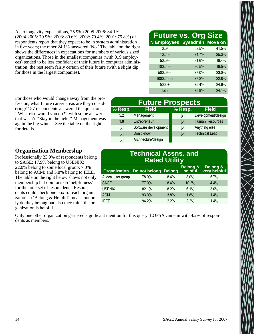As to longevity expectations, 75.9% (2005-2006: 84.1%; (2004-2005: 79.9%; 2003: 80.6%, 2002: 79.4%; 2001: 75.8%) of respondents report that they expect to be in system administration in five years; the other 24.1% answered 'No.' The table on the right shows the differences in expectations for members of various sized organizations. Those in the smallest companies (with 0..9 employees) tended to be less confident of their future in computer administration; the rest seem fairly certain of their future (with a slight dip for those in the largest companies).

## **Future vs. Org Size**

| N Employees Sysadmin Move on |       |       |
|------------------------------|-------|-------|
| 0.9                          | 58.5% | 41.5% |
| 10.49                        | 74.7% | 25.3% |
| 50.99                        | 81.6% | 18.4% |
| 100.499                      | 80.5% | 19.5% |
| 500999                       | 77.0% | 23.0% |
| 10004999                     | 77.2% | 22.8% |
| $5000+$                      | 75.4% | 24.6% |
| Total                        | 75.9% | 24.1% |

For those who would change away from the profession, what future career areas are they considering? 157 respondents answered the question, ''What else would you do?'' with some answer that wasn't ''Stay in the field.'' Management was again the big winner. See the table on the right for details.

| <b>Future Prospects</b> |                      |         |                        |  |  |  |  |
|-------------------------|----------------------|---------|------------------------|--|--|--|--|
| % Resp.                 | <b>Field</b>         | % Resp. | <b>Field</b>           |  |  |  |  |
| 5.2                     | Management           | [7]     | Development/design     |  |  |  |  |
| 1.8                     | Entrepreneur         | [6]     | <b>Human Resources</b> |  |  |  |  |
| [8]                     | Software development | [6]     | Anything else          |  |  |  |  |
| [8]                     | Don't know           | [5]     | <b>Technical Lead</b>  |  |  |  |  |
| [8]                     | Architecture/design  |         |                        |  |  |  |  |

#### **Organization Membership**

Professionally 23.0% of respondents belong to SAGE; 17.9% belong to USENIX; 22.0% belong to some local group; 7.0% belong to ACM; and 5.8% belong to IEEE. The table on the right below shows not only membership but opinions on 'helpfulness' for the total set of respondents. Respondents could check one box for each organization so 'Belong & Helpful' means not only do they belong but also they think the organization is helpful.

### **Technical Assns. and Rated Utility**

| <b>Organization</b> | Do not belong Belong |      | <b>Belong &amp;</b><br>helpful | <b>Belong &amp;</b><br>very helpful |
|---------------------|----------------------|------|--------------------------------|-------------------------------------|
| A local user group  | 78.0%                | 8.4% | 8.0%                           | 5.7%                                |
| <b>SAGE</b>         | 77.0%                | 8.4% | 10.2%                          | 4.4%                                |
| <b>USENIX</b>       | 82.1%                | 8.2% | 6.1%                           | 3.6%                                |
| <b>ACM</b>          | 93.0%                | 3.8% | 1.8%                           | 1.4%                                |
| <b>IEEE</b>         | 94.2%                | 2.2% | 2.2%                           | 1.4%                                |

Only one other organization garnered significant mention for this query; LOPSA came in with 4.2% of respondents as members.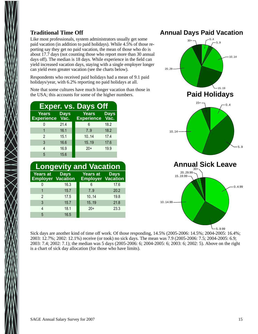#### **Traditional Time Off**

Like most professionals, system administrators usually get some paid vacation (in addition to paid holidays). While 4.5% of those reporting say they get no paid vacation, the mean of those who do is about 17.7 days (not counting those who report more than 30 annual days off). The median is 18 days. While experience in the field can yield increased vacation days, staying with a single employer longer can yield even greater vacation (see the charts below).

Respondents who received paid holidays had a mean of 9.1 paid holidays/year, with 6.2% reporting no paid holidays at all.

Note that some cultures have much longer vacation than those in the USA; this accounts for some of the higher numbers.

|                                   |                                           | <b>Exper. vs. Days Off</b>        |              |
|-----------------------------------|-------------------------------------------|-----------------------------------|--------------|
| <b>Years</b><br><b>Experience</b> | <b>Days</b><br>$\overline{\mathsf{Vac.}}$ | <b>Years</b><br><b>Experience</b> | Days<br>Vac. |
|                                   | 21.4                                      | 6                                 | 18.2         |
|                                   | 16.1                                      | 7.9                               | 18.2         |
| $\mathfrak{p}$                    | 15.1                                      | 1014                              | 17.4         |
| 3                                 | 16.6                                      | 15.19                             | 17.6         |
| 4                                 | 16.9                                      | $20+$                             | 19.9         |
| 5                                 | 15.6                                      |                                   |              |

| <b>Longevity and Vacation</b>               |             |                                      |             |  |  |  |
|---------------------------------------------|-------------|--------------------------------------|-------------|--|--|--|
| <b>Years at</b><br><b>Employer Vacation</b> | <b>Days</b> | Years at<br><b>Employer Vacation</b> | <b>Days</b> |  |  |  |
|                                             | 16.3        | 6                                    | 17.6        |  |  |  |
|                                             | 15.7        | 7.9                                  | 20.2        |  |  |  |
| $\mathfrak{p}$                              | 17.5        | 10.14                                | 19.8        |  |  |  |
| 3                                           | 15.7        | 15.19                                | 21.8        |  |  |  |
| 4                                           | 18.1        | $20+$                                | 23.3        |  |  |  |
| 5                                           | 16.5        |                                      |             |  |  |  |

#### **Annual Days Paid Vacation**



Sick days are another kind of time off work. Of those responding, 14.5% (2005-2006: 14.5%; 2004-2005: 16.4%; 2003: 12.7%; 2002: 12.1%) receive (or took) no sick days. The mean was 7.9 (2005-2006: 7.5; 2004-2005: 6.9; 2003: 7.4; 2002: 7.1); the median was 5 days (2005-2006: 6; 2004-2005: 6; 2003: 6; 2002: 5). Above on the right is a chart of sick day allocation (for those who have limits).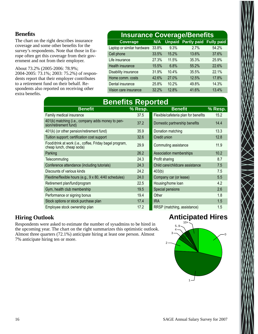#### **Benefits**

The chart on the right describes insurance coverage and some other benefits for the survey's respondents. Note that those in Europe often get this coverage from their government and not from their employer.

About 73.2% (2005-2006: 78.9%; 2004-2005: 73.1%; 2003: 75.2%) of respondents report that their employer contributes to a retirement fund on their behalf. Respondents also reported on receiving other extra benefits.

## **Insurance Coverage/Benefits**

| <b>Coverage</b>            | N/A   |       | <b>Unpaid Partly paid Fully paid</b> |       |
|----------------------------|-------|-------|--------------------------------------|-------|
| Laptop or similar hardware | 33.8% | 9.3%  | 2.7%                                 | 54.2% |
| Cell phone                 | 33.5% | 15.2% | 13.6%                                | 37.6% |
| Life insurance             | 27.3% | 11.5% | 35.3%                                | 25.9% |
| Health insurance           | 15.5% | 6.8%  | 55.2%                                | 22.6% |
| Disability insurance       | 31.9% | 10.4% | 35.5%                                | 22.1% |
| Home comm. costs           | 42.6% | 27.0% | 12.5%                                | 17.8% |
| Dental insurance           | 25.8% | 10.2% | 49.8%                                | 14.3% |
| Vision care insurance      | 32.2% | 12.8% | 41.6%                                | 13.4% |

| <b>Benefits Reported</b>                                                            |         |                                      |         |  |  |  |  |  |
|-------------------------------------------------------------------------------------|---------|--------------------------------------|---------|--|--|--|--|--|
| <b>Benefit</b>                                                                      | % Resp. | <b>Benefit</b>                       | % Resp. |  |  |  |  |  |
| Family medical insurance                                                            | 37.5    | Flexible/cafeteria plan for benefits | 15.2    |  |  |  |  |  |
| 401(k) matching (i.e., company adds money to pen-<br>sion/retirement fund)          | 37.2    | Domestic partnership benefits        | 14.4    |  |  |  |  |  |
| 401(k) (or other pension/retirement fund)                                           | 35.9    | Donation matching                    | 13.3    |  |  |  |  |  |
| Tuition support; certification cost support                                         | 32.6    | Credit union                         | 12.8    |  |  |  |  |  |
| Food/drink at work (i.e., coffee, Friday bagel program,<br>cheap lunch, cheap soda) | 29.9    | Commuting assistance                 | 11.9    |  |  |  |  |  |
| Parking                                                                             | 26.2    | Association memberships              | 10.2    |  |  |  |  |  |
| Telecommuting                                                                       | 24.3    | Profit sharing                       | 8.7     |  |  |  |  |  |
| Conference attendance (including tutorials)                                         | 24.3    | Child care/childcare assistance      | 7.5     |  |  |  |  |  |
| Discounts of various kinds                                                          | 24.2    | 403(b)                               | 7.5     |  |  |  |  |  |
| Flextime/flexible hours (e.g., 9 x 80, 4/40 schedules)                              | 24.0    | Company car (or lease)               | 5.5     |  |  |  |  |  |
| Retirement plan/fund/program                                                        | 22.5    | Housing/home loan                    | 4.2     |  |  |  |  |  |
| Gym, health club membership                                                         | 19.5    | Special pensions                     | 2.6     |  |  |  |  |  |
| Performance or signing bonus                                                        | 19.4    | Other                                | 1.8     |  |  |  |  |  |
| Stock options or stock purchase plan                                                | 17.4    | <b>IRA</b>                           | 1.5     |  |  |  |  |  |
| Employee stock ownership plan                                                       | 17.2    | RRSP (matching, assistance)          | 1.5     |  |  |  |  |  |

#### **Hiring Outlook**

Respondents were asked to estimate the number of sysadmins to be hired in the upcoming year. The chart on the right summarizes this optimistic outlook. Almost three quarters (72.1%) anticipate hiring at least one person. Almost 7% anticipate hiring ten or more.

## **Anticipated Hires**

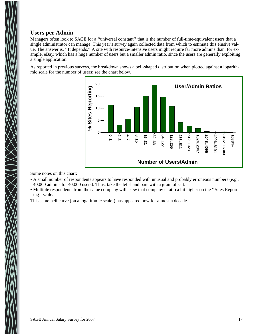#### **Users per Admin**

Managers often look to SAGE for a ''universal constant'' that is the number of full-time-equivalent users that a single administrator can manage. This year's survey again collected data from which to estimate this elusive value. The answer is, ''It depends.'' A site with resource-intensive users might require far more admins than, for example, eBay, which has a huge number of users but a smaller admin ratio, since the users are generally exploiting a single application.

As reported in previous surveys, the breakdown shows a bell-shaped distribution when plotted against a logarithmic scale for the number of users; see the chart below.



Some notes on this chart:

- A small number of respondents appears to have responded with unusual and probably erroneous numbers (e.g., 40,000 admins for 40,000 users). Thus, take the left-hand bars with a grain of salt.
- Multiple respondents from the same company will skew that company's ratio a bit higher on the ''Sites Reporting'' scale.

This same bell curve (on a logarithmic scale!) has appeared now for almost a decade.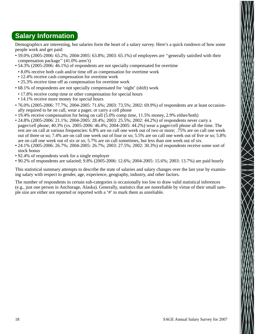## **Salary Information**

Demographics are interesting, but salaries form the heart of a salary survey. Here's a quick rundown of how some people work and get paid:

- 59.0% (2005-2006: 65.2%; 2004-2005: 63.8%; 2003: 65.1%) of employees are ''generally satisfied with their compensation package'' (41.0% aren't)
- 54.3% (2005-2006: 46.1%) of respondents are not specially compensated for overtime
- 8.0% receive both cash and/or time off as compensation for overtime work
- 12.4% receive cash compensation for overtime work
- 25.3% receive time off as compensation for overtime work
- 68.1% of respondents are not specially compensated for 'night' (shift) work
- 17.8% receive comp time or other compensation for special hours
- 14.1% receive more money for special hours
- 76.0% (2005-2006: 77.7%; 2004-2005: 71.6%; 2003: 73.5%; 2002: 69.9%) of respondents are at least occasionally required to be on call, wear a pager, or carry a cell phone
- 19.4% receive compensation for being on call (5.0% comp time, 11.5% money, 2.9% either/both)
- 24.8% (2005-2006: 21.1%; 2004-2005: 28.4%; 2003: 25.5%; 2002: 44.2%) of respondents never carry a pager/cell phone; 40.3% (vs. 2005-2006: 46.4%; 2004-2005: 44.2%) wear a pager/cell phone all the time. The rest are on call at various frequencies: 6.8% are on call one week out of two or more; .75% are on call one week out of three or so; 7.4% are on call one week out of four or so; 5.5% are on call one week out of five or so; 5.8% are on call one week out of six or so; 5.7% are on call sometimes, but less than one week out of six.
- 24.1% (2005-2006: 26.7%; 2004-2005: 26.7%; 2003: 27.5%; 2002: 30.3%) of respondents receive some sort of stock bonus
- 92.4% of respondents work for a single employer
- 90.2% of respondents are salaried; 9.8% (2005-2006: 12.6%; 2004-2005: 15.6%; 2003: 13.7%) are paid hourly

This statistical summary attempts to describe the state of salaries and salary changes over the last year by examining salary with respect to gender, age, experience, geography, industry, and other factors.

The number of respondents in certain sub-categories is occasionally too low to draw valid statistical inferences (e.g., just one person in Anchorage, Alaska). Generally, statistics that are nonreliable by virtue of their small sample size are either not reported or reported with a '#' to mark them as unreliable.

 $\sum_{i=1}^{n}$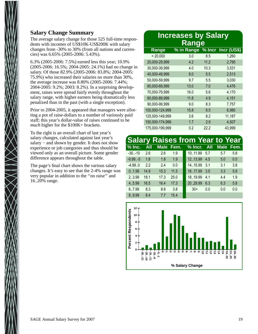#### **Salary Change Summary**

The average salary change for those 525 full-time respondents with incomes of US\$10K-US\$200K with salary changes from -30% to 30% (from all nations and currencies) was 6.65% (2005-2006: 5.43%).

6.3% (2005-2006: 7.5%) earned less this year; 10.9% (2005-2006: 16.5%; 2004-2005: 24.1%) had no change in salary. Of those 82.9% (2005-2006: 83.8%; 2004-2005: 75.9%) who increased their salaries no more than 30%, the average increase was 8.80% (2005-2006: 7.44%; 2004-2005: 9.2%; 2003: 8.2%). In a surprising development, raises were spread fairly evenly throughout the salary range, with higher earners being dramatically less penalized than in the past (with a single exception).

Prior to 2004-2005, it appeared that managers were allotting a pot of raise-dollars to a number of variously paid staff; this year's dollar-value of raises continued to be *much* higher for the \$100K+ brackets.

To the right is an overall chart of last year's salary changes, calculated against last year's salary – and shown by gender. It does not show experience or job categories and thus should be viewed only as an overall picture. Some gender difference appears throughout the table.

The page's final chart shows the various salary changes. It's easy to see that the 2-4% range was very popular in addition to the ''no raise'' and 16..20% range.

#### **Increases by Salary Rang e** Range % in Range % Incr Incr (US\$) < 20,000 3.0 8.5 1,260 20,000-29,999 4.2 11.2 2,795 30,000-39,999 4.0 10.3 3,531 40,000-49,999 8.0 5.5 2,513 50,000-59,999 9.7 5.5 3,030 60,000-69,999 13.0 7.0 4,476 70,000-79,999 16.0 5.6 4,170 80,000-89,999 11.8 4.9 4,151 90,000-99,999 9.0 8.3 7,757 100,000-124,999 15.8 6.5 6,980 125,000-149,999 3.6 8.2 11,187 150,000-174,999 1.7 2.9 4,507 175,000-199,999 0.2 22.2 43,999

|            | 'Salary Raises from Year to Year` |      |      |  |                                 |     |     |     |
|------------|-----------------------------------|------|------|--|---------------------------------|-----|-----|-----|
| $%$ Inc.   | <b>All</b>                        |      |      |  | Male Fem. % Incr. All Male Fem. |     |     |     |
| $-30. -10$ | 2.6                               | 2.6  | 1.9  |  | 1011.99                         | 5.7 | 5.7 | 5.8 |
| $-9.99$ -5 | 1.8                               | 1.8  | 1.9  |  | 1213.99                         | 4.5 | 5.0 | 0.0 |
| $-4.99.0$  | 2.2                               | 2.4  | 0.0  |  | 14.15.99                        | 3.1 | 3.1 | 3.8 |
| 0.1.99     | 14.9                              | 15.3 | 11.5 |  | 16.17.99                        | 3.5 | 3.3 | 5.8 |
| 2.3.99     | 18.1                              | 17.3 | 25.0 |  | 18.19.99                        | 4.1 | 4.4 | 1.9 |
| 4.5.99     | 16.5                              | 16.4 | 17.3 |  | 20.,29.99                       | 6.3 | 6.3 | 5.8 |
| 6.7.99     | 8.3                               | 8.8  | 3.8  |  | $30+$                           | 0.0 | 0.0 | 0.0 |
| 8.9.99     | 8.4                               | 77   | 15.4 |  |                                 |     |     |     |

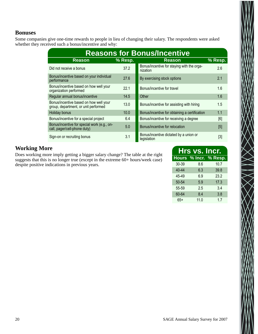#### **Bonuses**

Some companies give one-time rewards to people in lieu of changing their salary. The respondents were asked whether they received such a bonus/incentive and why:

| <b>Reasons for Bonus/Incentive</b>                                             |                   |                                                        |         |  |  |  |  |
|--------------------------------------------------------------------------------|-------------------|--------------------------------------------------------|---------|--|--|--|--|
| <b>Reason</b>                                                                  | % Resp.           | <b>Reason</b>                                          | % Resp. |  |  |  |  |
| Did not receive a bonus                                                        | 37.2              | Bonus/incentive for staying with the orga-<br>nization | 2.6     |  |  |  |  |
| Bonus/incentive based on your individual<br>performance                        | 27.6              | By exercising stock options                            | 2.1     |  |  |  |  |
| Bonus/incentive based on how well your<br>organization performed               | 22.1              | Bonus/incentive for travel                             | 1.6     |  |  |  |  |
| Regular annual bonus/incentive                                                 | 14.5              | Other                                                  | 1.6     |  |  |  |  |
| Bonus/incentive based on how well your<br>group, department, or unit performed | 13.0              | Bonus/incentive for assisting with hiring              | 1.5     |  |  |  |  |
| Holiday bonus                                                                  | 10.0 <sub>1</sub> | Bonus/incentive for obtaining a certification          | 1.1     |  |  |  |  |
| Bonus/incentive for a special project                                          | 6.4               | Bonus/incentive for receiving a degree                 | [6]     |  |  |  |  |
| Bonus/incentive for special work (e.g., on-<br>call, pager/cell-phone duty)    | 5.0               | Bonus/incentive for relocation                         | [5]     |  |  |  |  |
| Sign-on or recruiting bonus                                                    | 3.1               | Bonus/incentive dictated by a union or<br>legislation  | [3]     |  |  |  |  |

#### **Working More**

Does working more imply getting a bigger salary change? The table at the right suggests that this is no longer true (except in the extreme 60+ hours/week case) despite positive indications in previous years.

| <b>Hrs vs. Incr.</b> |      |                       |  |  |  |  |  |  |  |
|----------------------|------|-----------------------|--|--|--|--|--|--|--|
|                      |      | Hours % Incr. % Resp. |  |  |  |  |  |  |  |
| 30-39                | 8.6  | 10.7                  |  |  |  |  |  |  |  |
| $40 - 44$            | 6.3  | 39.8                  |  |  |  |  |  |  |  |
| 45-49                | 6.9  | 23.2                  |  |  |  |  |  |  |  |
| 50-54                | 5.9  | 17.3                  |  |  |  |  |  |  |  |
| 55-59                | 2.5  | 3.4                   |  |  |  |  |  |  |  |
| 60-64                | 8.4  | 3.8                   |  |  |  |  |  |  |  |
| 65+                  | 11.0 | 1.7                   |  |  |  |  |  |  |  |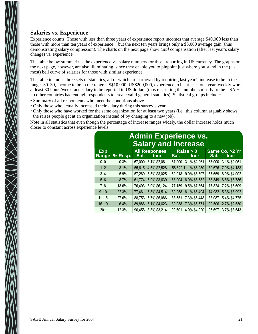#### **Salaries vs. Experience**

Experience counts. Those with less than three years of experience report incomes that average \$40,000 less than those with more than ten years of experience − but the next ten years brings only a \$3,000 average gain (thus demonstrating salary compression). The charts on the next page show *total* compensation (after last year's salary change) vs. experience.

The table below summarizes the experience vs. salary numbers for those reporting in US currency. The graphs on the next page, however, are also illuminating, since they enable you to pinpoint just where you stand in the (almost) bell curve of salaries for those with similar experience.

The table includes three sets of statistics, all of which are narrowed by requiring last year's increase to be in the range -30..30, income to be in the range US\$10,000..US\$200,000, experience to be at least one year, weekly work at least 30 hours/week, and salary to be reported in US dollars (thus restricting the numbers mostly to the USA − no other countries had enough respondents to create valid general statistics). Statistical groups include:

- Summary of all respondents who meet the conditions above.
- Only those who actually increased their salary during this survey's year.
- Only those who have worked for the same organization for at least two years (i.e., this column arguably shows the raises people get at an organization instead of by changing to a new job).

Note in all statistics that even though the percentage of increase ranges widely, the dollar increase holds much closer to constant across experience levels.

| <b>Admin Experience vs.</b><br><b>Salary and Increase</b> |         |        |                                      |         |                             |        |                                 |  |  |  |  |
|-----------------------------------------------------------|---------|--------|--------------------------------------|---------|-----------------------------|--------|---------------------------------|--|--|--|--|
| <b>Exp</b><br>Range                                       | % Resp. | Sal.   | <b>All Responses</b><br>$-$ Incr $-$ | Sal.    | Raise $> 0$<br>$-$ Incr $-$ | Sal.   | Same Co. > 2 Yr<br>$-$ Incr $-$ |  |  |  |  |
| 0.0                                                       | 0.3%    | 67,000 | 3.1% \$2,061                         | 67,000  | 3.1% \$2,061                | 67,000 | 3.1% \$2,061                    |  |  |  |  |
| 1.2                                                       | 3.1%    | 55,615 | 4.5% \$2,528                         |         | 56,820 11.1% \$6,280        | 52,676 | 7.9% \$4,183                    |  |  |  |  |
| 3.4                                                       | 5.9%    | 57,269 | 5.3% \$3,025                         | 60,918  | 9.0% \$5,507                | 57,659 | 6.9% \$4,002                    |  |  |  |  |
| 5.6                                                       | 8.7%    | 61,774 | 5.9% \$3,639                         | 63,904  | 8.9% \$5,682                | 58,349 | 6.5% \$3,786                    |  |  |  |  |
| 7.8                                                       | 13.6%   | 76,493 | 8.0% \$6,124                         | 77,159  | 9.5% \$7,364                | 77,824 | 7.2% \$5,609                    |  |  |  |  |
| 9.10                                                      | 22.3%   | 77,461 | 5.8% \$4,514                         | 80,258  | 8.1% \$6,494                | 74,982 | 5.3% \$3,992                    |  |  |  |  |
| 1115                                                      | 27.6%   | 88,753 | 5.7% \$5,086                         | 88,551  | 7.3% \$6,448                | 88,087 | 5.4% \$4,775                    |  |  |  |  |
| 16.19                                                     | 6.4%    | 89,886 | 5.1% \$4,623                         | 89,938  | 7.3% \$6,571                | 92,506 | 2.7% \$2,530                    |  |  |  |  |
| $20+$                                                     | 12.3%   | 96,458 | 3.3% \$3,214                         | 100,601 | 4.9% \$4,920                | 95,697 | 3.7% \$3,543                    |  |  |  |  |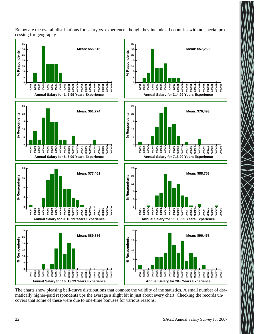Below are the overall distributions for salary vs. experience, though they include all countries with no special processing for geography.



The charts show pleasing bell-curve distributions that connote the validity of the statistics. A small number of dramatically higher-paid respondents ups the average a slight bit in just about every chart. Checking the records uncovers that some of these were due to one-time bonuses for various reasons.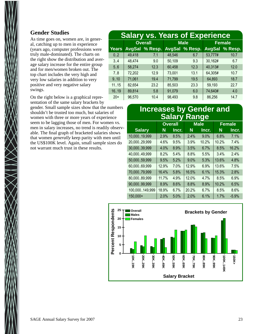#### **Gender Studies**

As time goes on, women are, in general, catching up to men in experience (years ago, computer professions were truly male-dominated). The charts on the right show the distribution and average salary increase for the entire group and for men/women broken out. The top chart includes the very high and very low salaries in addition to very positive and very negative salary swings.

On the right below is a graphical representation of the same salary brackets by

gender. Small sample sizes show that the numbers shouldn't be trusted too much, but salaries of women with three or more years of experience seem to be lagging those of men. For women vs. men in salary increases, no trend is readily observable. The final graph of bracketed salaries shows that women *generally* keep parity with men until the US\$100K level. Again, small sample sizes do not warrant much trust in these results.

|       | <b>Salary vs. Years of Experience</b> |                |        |                |         |                |  |  |  |  |  |  |
|-------|---------------------------------------|----------------|--------|----------------|---------|----------------|--|--|--|--|--|--|
|       |                                       | <b>Overall</b> |        | <b>Male</b>    | Female  |                |  |  |  |  |  |  |
| Years |                                       | AvgSal % Resp. |        | AvgSal % Resp. |         | AvgSal % Resp. |  |  |  |  |  |  |
| 0.2   | 49,418                                | 7.1            | 48,546 | 6.7            | 53,777# | 10.7           |  |  |  |  |  |  |
| 3.4   | 48,474                                | 9.0            | 50,109 | 9.3            | 30,162# | 6.7            |  |  |  |  |  |  |
| 5.6   | 58,274                                | 12.3           | 60,458 | 12.3           | 40,313# | 12.0           |  |  |  |  |  |  |
| 7.8   | 72,202                                | 12.9           | 73,001 | 13.1           | 64,305# | 10.7           |  |  |  |  |  |  |
| 9.10  | 71,061                                | 19.4           | 71,799 | 19.5           | 64,893  | 18.7           |  |  |  |  |  |  |
| 1115  | 82,654                                | 23.2           | 85,503 | 23.3           | 59,193  | 22.7           |  |  |  |  |  |  |
| 16.19 | 89,814                                | 5.8            | 91,079 | 6.0            | 74,640# | 4.0            |  |  |  |  |  |  |
| $20+$ | 96,570                                | 10.4           | 98,493 | 9.8            | 86,256  | 14.7           |  |  |  |  |  |  |

## **Increases by Gender and Salary Range**

|                | <b>Overall</b> |       |       | <b>Male</b> | <b>Female</b> |         |  |
|----------------|----------------|-------|-------|-------------|---------------|---------|--|
| <b>Salary</b>  | N              | Incr. | N     | Incr.       | N             | Incr.   |  |
| 10,00019,999   | 2.9%           | 8.5%  | 2.4%  | $9.0\%$     | 6.8%          | 7.1%    |  |
| 20,00029,999   | 4.6%           | 9.5%  | 3.9%  | 10.2%       | 10.2%         | 7.4%    |  |
| 30,00039,999   | 4.0%           | 8.9%  | 3.5%  | 6.7%        | 8.5%          | 16.2%   |  |
| 40,00049,999   | 8.2%           | 5.4%  | 8.8%  | 5.5%        | 3.4%          | 2.4%    |  |
| 50,00059,999   | 9.5%           | 5.2%  | 9.0%  | 5.3%        | 13.6%         | 4.8%    |  |
| 60,00069,999   | 12.9%          | 7.0%  | 12.9% | 6.9%        | 13.6%         | 7.5%    |  |
| 70,00079,999   | 16.4%          | 5.8%  | 16.5% | 6.1%        | 15.3%         | 2.8%    |  |
| 80,00089,999   | 11.7%          | 4.9%  | 12.0% | 4.7%        | 8.5%          | 6.9%    |  |
| 90,00099,999   | 8.9%           | 8.6%  | 8.8%  | 8.9%        | 10.2%         | 6.5%    |  |
| 100,000149,999 | 18.9%          | 6.7%  | 20.2% | 6.7%        | 8.5%          | 8.6%    |  |
| 150,000+       | 2.0%           | 5.0%  | 2.0%  | 6.1%        | 1.7%          | $-5.9%$ |  |

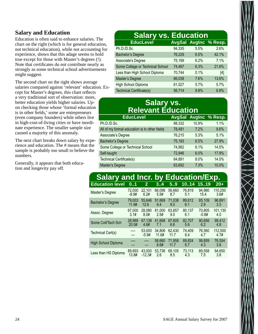#### **Salary and Education**

Education is often said to enhance salaries. The chart on the right (which is for general education, not technical education), while not accounting for experience, shows that this adage seems to hold true except for those with Master's degrees (!). Note that certificates do not contribute nearly as strongly as some technical school advertisements might suggest.

The second chart on the right shows average salaries compared against 'relevant' education. Except for Master's degrees, this chart reflects a very traditional sort of observation: more, better education yields higher salaries. Upon checking those whose 'formal education is in other fields,' some are entrepreneurs (even company founders) while others live in high-cost-of-living cities or have inordinate experience. The smaller sample size caused a majority of this anomaly.

The next chart breaks down salary by experience and education. The # means that the sample is probably too small to believe the numbers.

Generally, it appears that both education and longevity pay off.

#### **Salary vs. Education**<br>EducLevel AvgSal AvgInc **AvgSal AvgInc % Resp.** Ph.D./D.Sc. 94,335 5.5% 2.6% Bachelor's Degree 76,229 6.5% 42.1% Associate's Degree 75,199 6.2% 7.1% Some College or Technical School 74,467 6.3% 21.6% Less than High School Diploma 70,744 0.1% [4] Master's Degree 66,038 7.6% 13.6% High School Diploma 61,527 5.7% 5.7% Technical Certificate(s)  $56,714$  9.8% 6.8%

## **Salary vs. Relevant Education**

| <b>EducLevel</b>                              |        |       | <b>AvgSal AvgInc % Resp.</b> |
|-----------------------------------------------|--------|-------|------------------------------|
| Ph.D./D.Sc.                                   | 88,332 | 10.9% | 1.1%                         |
| All of my formal education is in other fields | 78,491 | 7.2%  | 9.6%                         |
| Associate's Degree                            | 76,215 | 5.3%  | 5.1%                         |
| <b>Bachelor's Degree</b>                      | 75,193 | 6.5%  | 27.9%                        |
| Some College or Technical School              | 74,982 | 6.1%  | 14.5%                        |
| Self-taught                                   | 72,946 | 6.0%  | 17.9%                        |
| Technical Certificate(s)                      | 64,891 | 8.0%  | 14.0%                        |
| Master's Degree                               | 63,692 | 7.3%  | 10.0%                        |

| <b>Salary and Incr. by Education/Exp.</b> |         |                   |                 |                |               |               |                 |
|-------------------------------------------|---------|-------------------|-----------------|----------------|---------------|---------------|-----------------|
| <b>Education level</b>                    | 0.1     | $\mathbf{2}$      | 34              | 5.9            | 10.14         | 1519          | $20+$           |
| Master's Degree                           | 72,000  | 22.101            | 66.098          | 56.660         | 76.819        | 94.980        | 110.250         |
|                                           | $-8.9#$ | 6.2#              | 5.5#            | 8.7            | 5.1           | 15.4          | 3.6#            |
| <b>Bachelor's Degree</b>                  | 79,003  | 55.646            | 51.669          | 71,038         | 89.612        | 85,109        | 96,891          |
|                                           | 11.9#   | 12.6              | 9.4             | 8.0            | 6.1           | 2.9           | 3.3             |
| Assoc. Degree                             | 67,000  | 28,080            | 81.000          | 63.857         | 80.137        | 70.805        | 101,130         |
|                                           | 3.1#    | 8.0#              | 2.5#            | 9.0            | 6.1           | $-0.8#$       | 4.0             |
| Some Coll/Tech Sch                        | 28.969  | 67.138            | 41.668          | 67.605         | 82.707        | 90,656        | 99.412          |
|                                           | 20.0#   | 4.6#              | 7.1             | 6.6            | 5.6           | 6.2           | 4.8             |
| Technical Cert(s)                         |         | 53,000<br>$-5.9#$ | 34.806<br>11.6# | 62.430<br>11.7 | 74.409<br>6.4 | 76.560<br>4.7 | 112.500<br>4.7# |
| <b>High School Diploma</b>                |         | ---               | 58,660<br>8.6#  | 71.958<br>11.7 | 89.824<br>6.7 | 99,859<br>4.3 | 76.554<br>3.6   |
| Less than HS Diploma                      | 89,693  | 43,000            | 53.736          | 69,105         | 73.113        | 89,558        | 94.650          |
|                                           | 13.8#   | $-12.3#$          | 2.6             | 8.5            | 4.3           | 7.5           | 3.8             |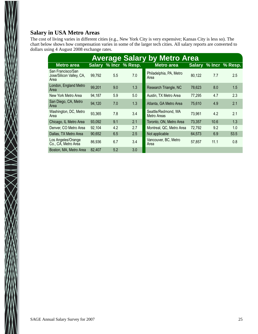#### **Salary in USA Metro Areas**

 $\bigtimes$   $\bigtimes$   $\bigtimes$ 

The cost of living varies in different cities (e.g., New York City is very expensive; Kansas City is less so). The chart below shows how compensation varies in some of the larger tech cities. All salary reports are converted to dollars using 4 August 2008 exchange rates.

|                                                       | <b>Average Salary by Metro Area</b> |     |                       |                                    |        |      |                       |  |  |  |  |  |  |
|-------------------------------------------------------|-------------------------------------|-----|-----------------------|------------------------------------|--------|------|-----------------------|--|--|--|--|--|--|
| <b>Metro area</b>                                     |                                     |     | Salary % Incr % Resp. | <b>Metro area</b>                  |        |      | Salary % Incr % Resp. |  |  |  |  |  |  |
| San Francisco/San<br>Jose/Silicon Valley, CA,<br>Area | 99,792                              | 5.5 | 7.0                   | Philadelphia, PA, Metro<br>Area    | 80,122 | 7.7  | 2.5                   |  |  |  |  |  |  |
| London, England Metro<br>Area                         | 99,201                              | 9.0 | 1.3                   | Research Triangle, NC              | 78,623 | 8.0  | 1.5                   |  |  |  |  |  |  |
| New York Metro Area                                   | 94,187                              | 5.9 | 5.0                   | Austin, TX Metro Area              | 77,295 | 4.7  | 2.3                   |  |  |  |  |  |  |
| San Diego, CA, Metro<br>Area                          | 94,120                              | 7.0 | 1.3                   | Atlanta, GA Metro Area             | 75,610 | 4.9  | 2.1                   |  |  |  |  |  |  |
| Washington, DC, Metro<br>Area                         | 93,365                              | 7.8 | 3.4                   | Seattle/Redmond, WA<br>Metro Areas | 73,961 | 4.2  | 2.1                   |  |  |  |  |  |  |
| Chicago, IL Metro Area                                | 93,092                              | 9.1 | 2.1                   | Toronto, ON, Metro Area            | 73,357 | 10.6 | 1.3                   |  |  |  |  |  |  |
| Denver, CO Metro Area                                 | 92.104                              | 4.2 | 2.7                   | Montreal, QC, Metro Area           | 72,792 | 9.2  | 1.0                   |  |  |  |  |  |  |
| Dallas, TX Metro Area                                 | 90,652                              | 6.5 | 2.5                   | Not applicable                     | 64,573 | 6.9  | 53.5                  |  |  |  |  |  |  |
| Los Angeles/Orange<br>Co., CA, Metro Area             | 86,936                              | 6.7 | 3.4                   | Vancouver, BC, Metro<br>Area       | 57.857 | 11.1 | 0.8                   |  |  |  |  |  |  |
| Boston, MA, Metro Area                                | 82,407                              | 5.2 | 3.0                   |                                    |        |      |                       |  |  |  |  |  |  |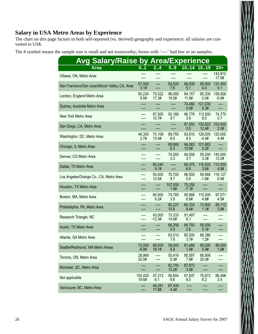#### **Salary in USA Metro Areas by Experience**

The chart on this page factors in both self-reported (vs. derived) geography and experience; all salaries are converted to US\$.

The # symbol means the sample size is small and not trustworthy; boxes with '----' had few or no samples.

| <b>Avg Salary/Raise by Area/Experience</b>      |                   |                    |                 |                   |                    |                    |
|-------------------------------------------------|-------------------|--------------------|-----------------|-------------------|--------------------|--------------------|
| <b>Area</b>                                     | 01                | 24                 | 5.9             | 1014 1519         |                    | $20+$              |
| Ottawa, ON, Metro Area                          |                   |                    | ----<br>----    | ----              | ----               | 142,912<br>17.5#   |
| San Francisco/San Jose/Silicon Valley, CA, Area | 67,000<br>3.1#    | ----               | 93,520<br>7.6   | 96,939<br>5.1     | 95,000<br>4.4      | 131,450<br>5.1     |
| London, England Metro Area                      | 90,234<br>9.5#    | 75,522<br>17.3#    | 98,080<br>19.0# | 94,157<br>11.6#   | 85,330<br>0.0#     | 156,928<br>$-5.9#$ |
| Sydney, Australia Metro Area                    |                   |                    | ----<br>----    | 74,480<br>0.0#    | 121,030<br>8.3#    |                    |
| New York Metro Area                             | ----              | 87,500<br>10.7#    | 92,166<br>9.7   | 96,776<br>3.9     | 113,500<br>8.0     | 74,775<br>0.7      |
| San Diego, CA, Metro Area                       |                   |                    | ----<br>----    | 87,550<br>5.5     | 102,822<br>12.4#   | 103,000<br>2.0#    |
| Washington, DC, Metro Area                      | 46,300<br>2.7#    | 70,108<br>13.4#    | 89,750<br>9.0   | 93,810<br>9.5     | 129,000<br>$-4.4#$ | 120,000<br>4.4#    |
| Chicago, IL Metro Area                          |                   | ----               | 89,666<br>8.3   | 94,083<br>10.6#   | 101,883<br>9.2#    |                    |
| Denver, CO Metro Area                           |                   | ----               | 74,500<br>3.3   | 94,558<br>3.7     | 95,000<br>3.3#     | 140,000<br>12.0#   |
| Dallas, TX Metro Area                           | ----              | 60,240<br>9.1#     | ----<br>----    | 89,375<br>6.8     | 116,500<br>3.6#    | 110,000<br>4.8#    |
| Los Angeles/Orange Co., CA, Metro Area          | ----<br>----      | 54,000<br>12.5#    | 75,700<br>9.7   | 96,500<br>5.6     | 95,666<br>$-1.6#$  | 116,127<br>6.4#    |
| Houston, TX Metro Area                          |                   | ----<br>----       | 107,000<br>1.9# | 75,250<br>$-7.1#$ | ----<br>----       |                    |
| Boston, MA, Metro Area                          |                   | 60,900<br>9.2#     | 74,785<br>3.9   | 90,666<br>6.6#    | 110,000<br>4.8#    | 97,071<br>4.5#     |
| Philadelphia, PA, Metro Area                    |                   |                    | 80,227<br>10.8  | 80,333<br>8.4#    | 73,900<br>1.1#     | 85,713<br>3.8#     |
| Research Triangle, NC                           |                   | 43,000<br>$-12.3#$ | 73,333<br>14.6# | 91,497<br>8.1     |                    |                    |
| Austin, TX Metro Area                           |                   |                    | 66,256<br>5.9   | 84,750<br>2.6     | 95,500<br>5.1#     |                    |
| Atlanta, GA Metro Area                          |                   | ----               | 63,510<br>7.8   | 85,000<br>3.7#    | 86,386<br>1.2#     |                    |
| Seattle/Redmond, WA Metro Areas                 | 72,000<br>$-8.9#$ | 85,000<br>18.1#    | 59,043<br>5.9   | 81,466<br>1.9#    | 90,000<br>5.9#     | 86,000<br>1.8#     |
| Toronto, ON, Metro Area                         | 28,969<br>20.0#   | ----<br>----       | 55,416<br>5.3#  | 95,597<br>7.8#    | 86,906<br>20.0#    |                    |
| Montreal, QC, Metro Area                        | ----<br>----      | ----               | 62,740<br>13.2# | 87,872<br>3.0#    | ----<br>----       |                    |
| Not applicable                                  | 100,429<br>19.6#  | 47,213<br>6.1      | 56,604<br>9.6   | 67,837<br>6.0     | 75,672<br>6.2      | 86,498<br>3.4      |
| Vancouver, BC, Metro Area                       | ----<br>----      | 48,281<br>17.8#    | 67,434<br>4.4#  |                   | ----<br>----       | ----               |

 $\ge$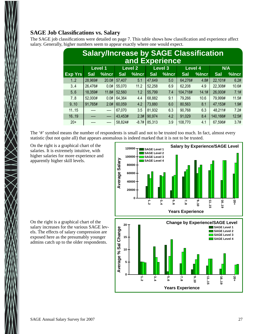#### **SAGE Job Classifications vs. Salary**

The SAGE job classifications were detailed on page 7. This table shows how classification and experience affect salary. Generally, higher numbers seem to appear exactly where one would expect.

| <b>Salary/Increase by SAGE Classification</b><br>and Experience |            |                |            |                |            |                |            |       |            |       |  |  |
|-----------------------------------------------------------------|------------|----------------|------------|----------------|------------|----------------|------------|-------|------------|-------|--|--|
|                                                                 |            | <b>Level 1</b> |            | <b>Level 2</b> |            | <b>Level 3</b> | Level 4    |       |            | N/A   |  |  |
| <b>Exp Yrs</b>                                                  | <b>Sal</b> | %Incr          | <b>Sal</b> | %Incr          | <b>Sal</b> | %Incr          | <b>Sal</b> | %Incr | <b>Sal</b> | %Incr |  |  |
| 1.2                                                             | 28,969#    | 20.0#          | 57,407     | 5.1            | 47,649     | 5.0            | 64,276#    | 4.8#  | 22,101#    | 6.2#  |  |  |
| 3.4                                                             | 26,476#    | 0.0#           | 55,070     | 11.2           | 52,258     | 6.9            | 62,208     | 4.9   | 22,308#    | 10.6# |  |  |
| 5.6                                                             | 18,359#    | 11.8#          | 52,560     | 1.2            | 55,799     | 7.4            | 104,718#   | 14.1# | 26,000#    | 7.1#  |  |  |
| 7.8                                                             | 52,000#    | 0.0#           | 64,364     | 4.4            | 68,882     | 9.1            | 79,266     | 10.6  | 79,999#    | 11.5# |  |  |
| 9.10                                                            | 91,765#    | 2.0#           | 60,059     | 4.2            | 73,880     | 6.0            | 80,563     | 8.1   | 47,153#    | 1.9#  |  |  |
| 1115                                                            |            | ----           | 67,070     | 3.5            | 81,932     | 6.3            | 90,768     | 6.3   | 48,211#    | 7.2#  |  |  |
| 1619                                                            |            |                | 43,453#    | 2.3#           | 90,974     | 4.2            | 91,029     | 8.4   | 140,166#   | 12.5# |  |  |
| $20+$                                                           | ----       |                | 58,824#    | $-8.7#$        | 85,313     | 3.9            | 108,770    | 4.1   | 67,596#    | 3.7#  |  |  |

The '#' symbol means the number of respondents is small and not to be trusted too much. In fact, almost every statistic (but not quite all) that appears anomalous is indeed marked that it is not to be trusted.

On the right is a graphical chart of the salaries. It is extremely intuitive, with higher salaries for more experience and apparently higher skill levels.



**Years Experience**

On the right is a graphical chart of the salary increases for the various SAGE levels. The effects of salary compression are exposed here as the presumably younger admins catch up to the older respondents.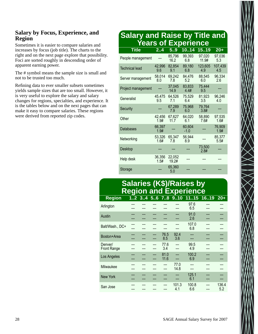#### **Salary by Focus, Experience, and Region**

Sometimes it is easier to compare salaries and increases by focus (job title). The charts to the right and on the next page explore that possibility. Foci are sorted roughly in descending order of apparent earning power.

The # symbol means the sample size is small and not to be trusted too much.

Refining data to ever smaller subsets sometimes yields sample sizes that are too small. However, it is very useful to explore the salary and salary changes for regions, specialties, and experience. It is the tables below and on the next pages that can make it easy to compare salaries. These regions were derived from reported zip codes.

## **Salary and Raise by Title and Years of Experience**

| <b>Title</b>          | 2.4            | 5.9             | 1014             | 1519            | $20+$          |
|-----------------------|----------------|-----------------|------------------|-----------------|----------------|
| People management     |                | 85,796<br>16.2  | 99,393<br>6.8    | 97,020<br>11.9# | 97,036<br>5.3  |
| <b>Technical lead</b> | 42,996<br>9.6  | 82,854<br>9.1   | 89,180<br>6.8    | 123,605<br>4.9  | 107,439<br>4.5 |
| Server management     | 58,014<br>8.0  | 69,242<br>7.8   | 84,476<br>5.2    | 88,545<br>6.0   | 96,334<br>2.6  |
| Project management    |                | 37,045<br>14.9  | 83,833<br>4.4#   | 75,444<br>9.5   |                |
| Generalist            | 45,475<br>9.5  | 64,526<br>7.1   | 75,529<br>6.4    | 81,923<br>3.5   | 96,246<br>4.0  |
| Security              |                | 67,289<br>7.9   | 75,968<br>6.0    | 79,764<br>3.8#  |                |
| Other                 | 42,456<br>1.9# | 67,627<br>11.7  | 64,020<br>6.1    | 58,890<br>7.6#  | 97,535<br>1.6# |
| <b>Databases</b>      | 66,397<br>1.9# |                 | 60,604<br>$-1.0$ |                 | 76,909<br>1.9# |
| Networking            | 53,326<br>1.6# | 65,347<br>7.8   | 56,944<br>8.9    |                 | 85,377<br>5.5# |
| Desktop               |                |                 |                  | 73,500<br>2.8#  |                |
| Help desk             | 36,356<br>1.5# | 22,052<br>19.2# |                  |                 |                |
| Storage               |                | 65,360<br>5.0   |                  |                 |                |

## **Salaries (K\$)/Raises by Region and Experience**

| <b>Region</b>      |  |     |      |       | 12 34 56 78 910 1115 | 1619 | $20+$ |
|--------------------|--|-----|------|-------|----------------------|------|-------|
| Arlington          |  |     |      |       | 97.6                 |      |       |
|                    |  |     |      |       | 6.5                  |      |       |
| Austin             |  |     |      |       | 91.0                 |      |       |
|                    |  |     |      |       | 2.6                  |      |       |
| Balt/Wash., DC+    |  |     |      |       | 107.0                |      |       |
|                    |  |     |      |       | 6.8                  |      |       |
| Boston+Area        |  |     | 76.5 | 92.4  |                      |      |       |
|                    |  |     | 8.5  | 3.6   |                      |      |       |
| Denver/            |  |     | 77.6 |       | 99.5                 |      |       |
| <b>Front Range</b> |  |     | 3.4  | ---   | 4.9                  |      |       |
| Los Angeles        |  |     | 81.0 |       | 100.2                |      |       |
|                    |  | --- | 11.6 |       | 6.9                  |      |       |
| Milwaukee          |  |     |      | 77.0  |                      |      |       |
|                    |  |     |      | 14.8  |                      |      |       |
| <b>New York</b>    |  |     |      |       | 125.1                |      |       |
|                    |  |     |      |       | 6.1                  |      |       |
| San Jose           |  |     |      | 101.3 | 100.8                |      | 136.4 |
|                    |  |     |      | 4.1   | 6.6                  |      | 5.2   |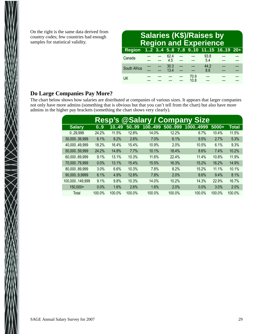On the right is the same data derived from country codes; few countries had enough samples for statistical validity.

| <b>Salaries (K\$)/Raises by</b><br><b>Region and Experience</b> |  |  |              |  |              |             |  |  |  |  |
|-----------------------------------------------------------------|--|--|--------------|--|--------------|-------------|--|--|--|--|
| Region 12 34 56 78 910 1115 1619 20+                            |  |  |              |  |              |             |  |  |  |  |
| Canada                                                          |  |  | 62.4<br>45   |  |              | 93.8<br>54  |  |  |  |  |
| South Africa                                                    |  |  | 30.3<br>13.4 |  |              | 44.2<br>8.8 |  |  |  |  |
| <b>UK</b>                                                       |  |  |              |  | 70.9<br>10.8 |             |  |  |  |  |

#### **Do Large Companies Pay More?**

 $\ll$ 

The chart below shows how salaries are distributed at companies of various sizes. It appears that larger companies not only have more admins (something that is obvious but that you can't tell from the chart) but also have more admins in the higher pay brackets (something the chart shows very clearly).

| <b>Resp's @Salary / Company Size</b> |        |        |        |        |        |          |         |              |  |
|--------------------------------------|--------|--------|--------|--------|--------|----------|---------|--------------|--|
| <b>Salary</b>                        | 0.9    | 1049   | 5099   | 100499 | 500999 | 10004999 | $5000+$ | <b>Total</b> |  |
| 029,999                              | 24.2%  | 11.5%  | 12.8%  | 14.0%  | 12.2%  | 6.7%     | 10.4%   | 11.5%        |  |
| 30,00039,999                         | 6.1%   | 8.2%   | 2.6%   | 7.0%   | 6.1%   | 9.5%     | 2.7%    | 5.3%         |  |
| 40,00049,999                         | 18.2%  | 16.4%  | 15.4%  | 10.9%  | 2.0%   | 10.5%    | 6.1%    | 9.3%         |  |
| 50,000.59,999                        | 24.2%  | 14.8%  | 7.7%   | 10.1%  | 18.4%  | 8.6%     | 7.4%    | 10.2%        |  |
| 60,000.69,999                        | 9.1%   | 13.1%  | 10.3%  | 11.6%  | 22.4%  | 11.4%    | 10.8%   | 11.9%        |  |
| 70,00079,999                         | 0.0%   | 13.1%  | 15.4%  | 15.5%  | 16.3%  | 15.2%    | 16.2%   | 14.9%        |  |
| 80,00089,999                         | 3.0%   | 6.6%   | 10.3%  | 7.8%   | 8.2%   | 15.2%    | 11.1%   | 10.1%        |  |
| 90,0009,9999                         | 6.1%   | 4.9%   | 12.8%  | 7.8%   | 2.0%   | 8.6%     | 9.4%    | 8.1%         |  |
| 100,000149,999                       | 9.1%   | 9.8%   | 10.3%  | 14.0%  | 10.2%  | 14.3%    | 22.9%   | 16.7%        |  |
| 150,000+                             | 0.0%   | 1.6%   | 2.6%   | 1.6%   | 2.0%   | 0.0%     | 3.0%    | 2.0%         |  |
| Total                                | 100.0% | 100.0% | 100.0% | 100.0% | 100.0% | 100.0%   | 100.0%  | 100.0%       |  |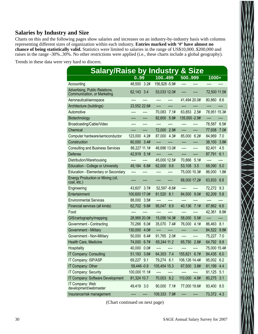#### **Salaries by Industry and Size**

Charts on this and the following pages show salaries and increases on an industry-by-industry basis with columns representing different sizes of organization within each industry. **Entries marked with '#' have almost no chance of being statistically valid.** Statistics were limited to salaries in the range of US\$10,000..\$200,000 and raises in the range -30%..30%. No other restrictions were applied (i.e., these charts include a global geography).

Trends in these data were very hard to discern.

| <b>Salary/Raise by Industry</b>                               |                 |                | &<br><b>Size</b> |                |
|---------------------------------------------------------------|-----------------|----------------|------------------|----------------|
|                                                               | 0.99            | 100.499        | 500999           | 1000+          |
| Accounting                                                    | 48,500 3.2#     | 156,928 - 5.9# |                  |                |
| Advertising, Public Relations,<br>Communication, or Marketing | 62,143 3.4      | 53,033 12.0#   |                  | 72,500 11.5#   |
| Aeronautical/aerospace                                        |                 | ----<br>----   | 41,494 20.0#     | 80,860 8.6     |
| Architecture (buildings)                                      | 23,552 22.6#    | ----           | ----             | ----           |
| Automotive                                                    |                 | 70,083<br>7.1# | 63,853 2.5#      | 78,951 15.3#   |
| Biotechnology                                                 | ----            | 82,600<br>5.9# | 135,000 - 2.9#   | ----           |
| Broadcasting/Cable/Video                                      |                 |                | ----             | 78,587<br>6.5# |
| Chemical                                                      |                 | 72,000<br>2.9# | ----<br>----     | 77,938<br>7.0# |
| Computer hardware/semiconductor                               | 123,000<br>4.2# | 87,000 4.3#    | 85,000 6.2#      | 84,969<br>7.0  |
| Construction                                                  | 60,000<br>3.4#  | ----           | ----             | 3.8#<br>38,100 |
| <b>Consulting and Business Services</b>                       | 86,227 11.1#    | 46,696 13.0#   | ----<br>----     | 82,401<br>4.5  |
| Defense                                                       | 42,919<br>5.1#  | ----           | ----<br>----     | 87,791<br>6.1  |
| Distribution/Warehousing                                      | ----            | 45,000 12.5#   | 70,866 5.1#      | ----           |
| <b>Education - College or University</b>                      | 49,184 6.8#     | 62,000 9.6     | 53,108<br>3.5    | 68,090<br>5.0  |
| <b>Education - Elementary or Secondary</b>                    | ----            |                | 75,000 10.3#     | 86,000<br>1.8# |
| Energy Production or Mining (oil,<br>coal, etc.)              |                 |                | 68,000 17.2#     | 6.6<br>63,933  |
| Engineering                                                   | 43,607 3.7#     | 52,597 -8.6#   | ----             | 72,272 9.3     |
| Entertainment                                                 | 100,600 17.0#   | 81,520 8.1     | 9.0#<br>84,500   | 82,209<br>5.8  |
| <b>Environmental Services</b>                                 | 88,000 3.5#     | ----           |                  |                |
| Financial services (all kinds)                                | 62,702 9.8#     | 95,047<br>8.9  | 40,136<br>7.1#   | 87,862 6.6     |
| Food                                                          |                 |                | ----             | 42,361<br>8.8# |
| GIS/cartography/mapping                                       | 28,969 20.0#    | 15,056 14.3#   | 58,000<br>5.5#   | ----           |
| Government - Contracting                                      | 70,266 6.0#     | 35,070 7.4#    | 76,000<br>4.1#   | 86,463 8.1     |
| Government - Military                                         | 130,000<br>4.0# | ----           | ----<br>----     | 84,522 9.8#    |
| Government - Non-Military                                     | 50,000<br>6.4#  | 91,765 2.0#    | ----<br>----     | 7.0<br>75,227  |
| Health Care, Medicine                                         | 74,000<br>6.7#  | 65,244 11.2    | 65,750<br>2.8#   | 64,792 8.8     |
| Hospitality                                                   | 40,000<br>0.0#  | ----           |                  | 75,000 15.4#   |
| IT Company: Consulting                                        | 51,193<br>3.6#  | 64,303<br>7.4  | 155,821<br>6.7#  | 84,435<br>6.0  |
| IT Company: ISP/ASP                                           | 69,227 9.1      | 79,274 6.1     | 106,126 14.4#    | 95,002 6.2     |
| IT Company: Other                                             | 59,446 -0.9     | 105,454 15.3   | 67,500 3.8#      | 4.4<br>81,199  |
| IT Company: Security                                          | 100,000 11.1#   | ----           |                  | 91,125<br>5.1  |
| IT Company: Software Development                              | 81,324 10.7     | 70,003<br>8.2  | 110,000<br>4.8#  | 80,275<br>3.1  |
| IT Company: Web<br>development/webmaster                      | 49,419 3.0      | 7.1#<br>90,000 | 77,000 19.6#     | 93,400 8.5     |
| Insurance/risk management                                     |                 | 109,333 7.9#   |                  | 73,372 4.3     |

(Chart continued on next page)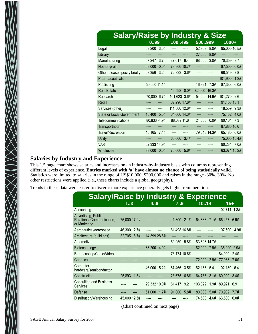| <b>Salary/Raise by Industry &amp; Size</b> |                |                |                |                 |
|--------------------------------------------|----------------|----------------|----------------|-----------------|
|                                            | 0.99           | 100499         | 500999         | 1000+           |
| Legal                                      | 59,200 3.5#    |                | 52,963<br>8.0# | 95,000 10.5#    |
| Library                                    |                |                | 8.0#<br>27,000 |                 |
| Manufacturing                              | 57,247<br>3.7  | 6.4<br>37,617  | 68,500<br>3.0# | 70,359<br>8.7   |
| Not-for-profit                             | 69,000<br>0.0# | 73,906 10.7#   |                | 87,500<br>6.0#  |
| Other, please specify briefly              | 63,356 3.2     | 72,333 3.6#    | ----<br>----   | 68,549<br>3.8   |
| Pharmaceuticals                            |                |                |                | 1.2#<br>101,900 |
| Publishing                                 | 50,000 11.1#   | ----<br>----   | 7.3#<br>16,321 | 6.0#<br>87,333  |
| <b>Real Estate</b>                         |                | 16,598<br>0.0# | 82,000 - 16.3# |                 |
| Research                                   | 70,000 -6.7#   | 101,623 -3.6#  | 54,000 14.9#   | 101,270<br>2.6  |
| Retail                                     |                | 62,296 17.6#   | ----           | 91,458 13.1     |
| Services (other)                           |                | 111,500 12.6#  | ----           | 18,559 9.3#     |
| <b>State or Local Government</b>           | 15,400<br>5.5# | 64,000 14.3#   | ----           | 75,432 4.0#     |
| Telecommunications                         | 80,833 - 4.9#  | 88,032 11.6    | 24,000<br>0.0# | 90,164<br>7.3   |
| Transportation                             |                |                |                | 87,880 10.6     |
| <b>Travel/Recreation</b>                   | 45,165<br>7.4# | ----           | 79,040 14.3#   | 65,480<br>6.0#  |
| <b>Utility</b>                             |                | 60,000<br>3.4# |                | 75,000 15.4#    |
| <b>VAR</b>                                 | 62,333 14.9#   |                |                | 90,234 7.0#     |
| Wholesale                                  | 88,000 0.0#    | 75,000<br>5.6# |                | 63,071 15.2#    |

#### **Salaries by Industry and Experience**

 $\bigtimes$ 

This 1.5 page chart shows salaries and increases on an industry-by-industry basis with columns representing different levels of experience. **Entries marked with '#' have almost no chance of being statistically valid.** Statistics were limited to salaries in the range of US\$10,000..\$200,000 and raises in the range -30%..30%. No other restrictions were applied (i.e., these charts include a global geography).

Trends in these data were easier to discern: more experience generally gets higher remuneration.

| <b>Salary/Raise by Industry &amp; Experience</b>                 |              |      |              |      |              |      |              |      |                    |      |
|------------------------------------------------------------------|--------------|------|--------------|------|--------------|------|--------------|------|--------------------|------|
|                                                                  | 13           |      | 4.6          |      | 7.9          |      | 1014         |      | $15+$              |      |
| Accounting                                                       |              |      |              |      |              |      |              |      | 102,714 - 1.3#     |      |
| Advertising, Public<br>Relations, Communication,<br>or Marketing | 75,000 17.2# |      |              |      | 11,300       | 2.1# |              |      | 64,833 7.1# 66,457 | 6.9# |
| Aeronautical/aerospace                                           | 46,300 2.7#  |      |              |      | 61,498 16.8# |      |              |      | 107,500            | 4.9# |
| Architecture (buildings)                                         | 32,705 16.7# |      | 14,399 28.6# |      |              |      |              |      |                    |      |
| Automotive                                                       |              |      |              |      | 59,959       | 5.8# | 83,623 14.7# |      |                    |      |
| Biotechnology                                                    |              |      | 83,200       | 4.0# |              |      | 82,000       | 7.9# | 135,000 - 2.9#     |      |
| Broadcasting/Cable/Video                                         |              |      |              |      | 73,174 10.6# |      |              |      | 84,000             | 2.4# |
| Chemical                                                         |              |      |              |      |              |      | 72,000       | 2.9# | 77,938             | 7.0# |
| Computer<br>hardware/semiconductor                               |              |      | 46,000 15.2# |      | 67,466       | 3.5# | 82,166 5.4   |      | 102.189 6.4        |      |
| Construction                                                     | 25,893       | 1.5# |              |      | 23,675       | 6.8# | 64,733       | 3.1# | 60,000             | 3.4# |
| <b>Consulting and Business</b><br><b>Services</b>                |              |      | 29,332 10.0# |      | 61,417       | 9.2  | 103,322      | 1.9# | 89,921             | 6.9  |
| Defense                                                          |              |      | 61,000       | 1.7# | 91,000       | 5.8# | 80,000       | 5.0# | 70,932             | 7.7# |
| Distribution/Warehousing                                         | 45,000 12.5# |      |              |      |              |      | 74.500       |      | 4.6# 63,600        | 6.0# |

(Chart continued on next page)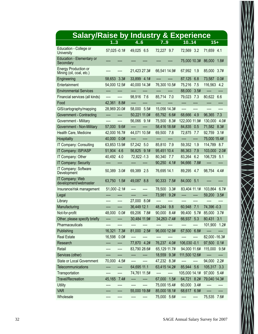| <b>Salary/Raise by Industry &amp; Experience</b>        |                |                |                |                |                 |
|---------------------------------------------------------|----------------|----------------|----------------|----------------|-----------------|
|                                                         |                | 46             | 79             | 10.14          | $15+$           |
| Education - College or<br><b>University</b>             | 57,025 -0.1#   | 49,025 6.5     | 72,227 9.7     | 72,569<br>3.2  | 71,659<br>4.1   |
| <b>Education - Elementary or</b><br>Secondary           |                |                |                | 75,000 10.3#   | 86,000<br>1.8#  |
| <b>Energy Production or</b><br>Mining (oil, coal, etc.) |                | 21,423 27.3#   | 66,541 14.9#   | 67,992<br>1.9  | 85,000<br>3.7#  |
| Engineering                                             | 58,653 3.3#    | 33,899 4.1#    | ----<br>----   | 87,125<br>6.8  | 73,587<br>0.0#  |
| Entertainment                                           | 54,000 12.5#   | 40,000 14.3#   | 76,300 10.5#   | 75,216<br>7.5  | 116,563 4.2     |
| <b>Environmental Services</b>                           | ----<br>----   | ----<br>----   | ----<br>----   | 88,000<br>3.5# | ----            |
| Financial services (all kinds)                          | ----<br>----   | 98,916<br>7.6  | 85,714<br>7.0  | 79,023<br>7.3  | 80,622<br>6.6   |
| Food                                                    | 42,361<br>8.8# | ----           |                | ----           |                 |
| GIS/cartography/mapping                                 | 28,969 20.0#   | 58,000 5.5#    | 15,056 14.3#   | ----           |                 |
| Government - Contracting                                | ----<br>----   | 50,221 11.0#   | 65,792 6.6#    | 68,666<br>4.9  | 96,365 7.3      |
| Government - Military                                   | ----<br>----   | 56,066 9.1#    | 75,500 8.3#    | 122,000 11.9#  | 130,000<br>4.0# |
| Government - Non-Military                               | 57,000<br>9.6# | ----<br>----   | 58,416 18.6#   | 84,835<br>0.5  | 71,582 8.3#     |
| Health Care, Medicine                                   | 42,000 16.7#   | 44,071 10.5#   | 69,500<br>7.8  | 7.7<br>72,875  | 3.1#<br>92,759  |
| Hospitality                                             | 40,000 0.0#    | ----           | ----<br>----   | ----<br>----   | 75,000 15.4#    |
| IT Company: Consulting                                  | 63,853 13.9#   | 57,242<br>5.0  | 85,810<br>7.9  | 59,352<br>1.9  | 114,789 8.7     |
| IT Company: ISP/ASP                                     | 51,904 4.6     | 56,825<br>9.1# | 95,451 10.4    | 86,363<br>7.9  | 103,000<br>2.0# |
| IT Company: Other                                       | 40,492 4.0     | 72,822 - 1.3   | 80,340<br>7.7  | 83,264<br>6.2  | 106,729<br>5.1  |
| IT Company: Security                                    | ----<br>----   | ----           | 90,250 4.1#    | 94,666<br>7.8# | ----<br>----    |
| IT Company: Software<br>Development                     | 50,389<br>3.0# | 69,389<br>2.5  | 76,695 14.1    | 89,295<br>4.7  | 98,754<br>4.4#  |
| IT Company: Web<br>development/webmaster                | 63,750<br>1.5# | 49,087<br>8.8  | 90,333 7.5#    | 84,000<br>5.1  |                 |
| Insurance/risk management                               | 51,000 - 2.1#  | ----           | 78,500<br>3.3# | 83,404 11.1#   | 103,864 6.7#    |
| Legal                                                   |                | ----           | 73,981<br>9.2# | ----<br>----   | 59,200<br>3.5#  |
| Library                                                 | ----           | 27,000 8.0#    | ----<br>----   | ----           |                 |
| Manufacturing                                           | ----<br>----   | 36,449 12.1    | 48,244<br>9.8  | 60,948<br>7.1  | 74,396 - 0.3    |
| Not-for-profit                                          | 48,000<br>0.0# | 69,206 7.8#    | 90,000 8.4#    | 99,400 5.7#    | 85,000 3.7#     |
| Other, please specify briefly                           |                | 30,484 11.9#   | 34, 263 - 7.4# | 66,937 5.3     | 80,431 3.1      |
| Pharmaceuticals                                         | ----<br>----   | ----           |                | ----           | 101,900 1.2#    |
| Publishing                                              | 16,321<br>7.3# | 81,000 2.5#    | 96,000 12.9#   | 67,500 6.8#    | ----<br>----    |
| <b>Real Estate</b>                                      | 0.0#<br>16,598 | ----           | ----           |                | 82,000 - 16.3#  |
| Research                                                | ----           | 77,870 4.2#    | 76,237 4.0#    | 106,030 -0.1   | 97,500 0.1#     |
| Retail                                                  | ----<br>----   | 83,790 28.6#   | 65,129 11.7#   | 94,000 11.6#   | 115,000 9.5#    |
| Services (other)                                        | ----           | ----<br>----   | 18,559 9.3#    | 111,500 12.6#  | ----<br>----    |
| <b>State or Local Government</b>                        | 70,000<br>4.5# | ----<br>----   | 47,232 8.3#    | ----<br>----   | 94,000 2.2#     |
| Telecommunications                                      |                | 64,695 11.1    | 63,415 14.2#   | 85,944 5.6     | 105,317 3.3     |
| Transportation                                          | ----<br>----   | 74,761 11.5#   | ----<br>----   | 105,000 14.1#  | 97,000 5.4#     |
| <b>Travel/Recreation</b>                                | 45,165<br>7.4# | ----<br>----   | 67,000<br>1.5# | 64,721 8.2#    | 79,040 14.3#    |
| <b>Utility</b>                                          | ----           | ----<br>----   | 75,000 15.4#   | 3.4#<br>60,000 | ----            |
| <b>VAR</b>                                              |                | 55,000 19.8#   | 85,000 18.1#   | 68,617 6.9#    | ----            |
| Wholesale                                               | ----<br>----   | ----           | 75,000 5.6#    | ----<br>----   | 7.6#<br>75,535  |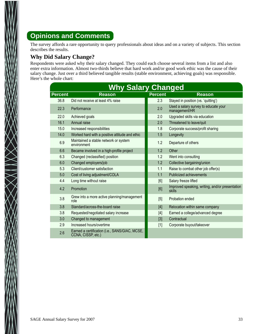## **Opinions and Comments**

The survey affords a rare opportunity to query professionals about ideas and on a variety of subjects. This section describes the results.

#### **Why Did Salary Change?**

 $\bigotimes_{\mathcal{N}}$ 

Respondents were asked why their salary changed. They could each choose several items from a list and also enter extra information. Almost two-thirds believe that hard work and/or good work ethic was the cause of their salary change. Just over a third believed tangible results (stable environment, achieving goals) was responsible. Here's the whole chart:

| <b>Why Salary Changed</b> |                                                                      |                |                                                           |  |  |  |  |  |
|---------------------------|----------------------------------------------------------------------|----------------|-----------------------------------------------------------|--|--|--|--|--|
| <b>Percent</b>            | <b>Reason</b>                                                        | <b>Percent</b> | <b>Reason</b>                                             |  |  |  |  |  |
| 36.8                      | Did not receive at least 4% raise                                    | 2.3            | Stayed in position (vs. 'quitting')                       |  |  |  |  |  |
| 22.3                      | Performance                                                          | 2.0            | Used a salary survey to educate your<br>management/HR     |  |  |  |  |  |
| 22.0                      | Achieved goals                                                       | 2.0            | Upgraded skills via education                             |  |  |  |  |  |
| 16.1                      | Annual raise                                                         | 2.0            | Threatened to leave/quit                                  |  |  |  |  |  |
| 15.0                      | Increased responsibilities                                           | 1.8            | Corporate success/profit sharing                          |  |  |  |  |  |
| 14.0                      | Worked hard with a positive attitude and ethic                       | 1.5            | Longevity                                                 |  |  |  |  |  |
| 6.9                       | Maintained a stable network or system<br>environment                 | 1.2            | Departure of others                                       |  |  |  |  |  |
| 6.6                       | Became involved in a high-profile project                            | 1.2            | Other                                                     |  |  |  |  |  |
| 6.3                       | Changed (reclassified) position                                      | 1.2            | Went into consulting                                      |  |  |  |  |  |
| 6.0                       | Changed employers/job                                                | 1.2            | Collective bargaining/union                               |  |  |  |  |  |
| 5.3                       | Client/customer satisfaction                                         | 1.1            | Raise to combat other job offer(s)                        |  |  |  |  |  |
| 5.0                       | Cost of living adjustment/COLA                                       | 1.1            | <b>Publicized achievements</b>                            |  |  |  |  |  |
| 4.4                       | Long time without raise                                              | [6]            | Salary freeze lifted                                      |  |  |  |  |  |
| 4.2                       | Promotion                                                            | [6]            | Improved speaking, writing, and/or presentation<br>skills |  |  |  |  |  |
| 3.8                       | Grew into a more active planning/management<br>role                  | [5]            | Probation ended                                           |  |  |  |  |  |
| 3.8                       | Standard/across-the-board raise                                      | $[4]$          | Relocation within same company                            |  |  |  |  |  |
| 3.8                       | Requested/negotiated salary increase                                 | $[4]$          | Earned a college/advanced degree                          |  |  |  |  |  |
| 3.0                       | Changed to management                                                | $[3]$          | Contractual                                               |  |  |  |  |  |
| 2.9                       | Increased hours/overtime                                             | $[1]$          | Corporate buyout/takeover                                 |  |  |  |  |  |
| 2.6                       | Earned a certification (i.e., SANS/GIAC, MCSE,<br>CCNA, CISSP, etc.) |                |                                                           |  |  |  |  |  |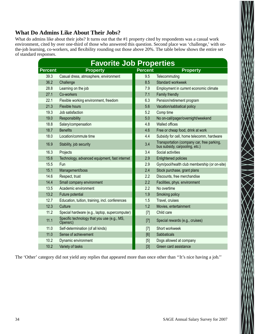#### **What Do Admins Like About Their Jobs?**

What do admins like about their jobs? It turns out that the #1 property cited by respondents was a casual work environment, cited by over one-third of those who answered this question. Second place was 'challenge,' with onthe-job learning, co-workers, and flexibility rounding out those above 20%. The table below shows the entire set of standard responses.

|                | <b>Favorite Job Properties</b>                          |                |                                                                              |
|----------------|---------------------------------------------------------|----------------|------------------------------------------------------------------------------|
| <b>Percent</b> | <b>Property</b>                                         | <b>Percent</b> | <b>Property</b>                                                              |
| 39.3           | Casual dress, atmosphere, environment                   | 9.5            | Telecommuting                                                                |
| 36.2           | Challenge                                               | 8.5            | Standard workweek                                                            |
| 28.8           | Learning on the job                                     | 7.9            | Employment in current economic climate                                       |
| 27.1           | Co-workers                                              | 7.1            | Family friendly                                                              |
| 22.1           | Flexible working environment, freedom                   | 6.3            | Pension/retirement program                                                   |
| 21.3           | Flexible hours                                          | 5.6            | Vacation/sabbatical policy                                                   |
| 19.3           | Job satisfaction                                        | 5.2            | Comp time                                                                    |
| 19.0           | Responsibility                                          | 5.0            | No on-call/pager/overnight/weekend                                           |
| 18.8           | Salary/compensation                                     | 4.8            | <b>Walled offices</b>                                                        |
| 18.7           | <b>Benefits</b>                                         | 4.6            | Free or cheap food, drink at work                                            |
| 18.0           | Location/commute time                                   | 4.4            | Subsidy for cell, home telecomm, hardware                                    |
| 16.9           | Stability, job security                                 | 3.4            | Transportation (company car, free parking,<br>bus subsidy, carpooling, etc.) |
| 16.3           | Projects                                                | 3.4            | Social activities                                                            |
| 15.6           | Technology, advanced equipment, fast internet           | 2.9            | <b>Enlightened policies</b>                                                  |
| 15.5           | Fun                                                     | 2.9            | Gym/pool/health club membership (or on-site)                                 |
| 15.1           | Management/boss                                         | 2.4            | Stock purchase, grant plans                                                  |
| 14.6           | Respect, trust                                          | 2.2            | Discounts, free merchandise                                                  |
| 14.4           | Small company environment                               | 2.2            | Facilities, phys. environment                                                |
| 13.5           | Academic environment                                    | 2.2            | No overtime                                                                  |
| 13.2           | Future potential                                        | 1.9            | Smoking policy                                                               |
| 12.7           | Education, tuition, training, incl. conferences         | 1.5            | Travel, cruises                                                              |
| 12.3           | Culture                                                 | 1.2            | Movies, entertainment                                                        |
| 11.2           | Special hardware (e.g., laptop, supercomputer)          | $[7]$          | Child care                                                                   |
| 11.1           | Specific technology that you use (e.g., MS,<br>Opensrc) | $[7]$          | Special rewards (e.g., cruises)                                              |
| 11.0           | Self-determination (of all kinds)                       | $[7]$          | Short workweek                                                               |
| 11.0           | Sense of achievement                                    | [6]            | Sabbaticals                                                                  |
| 10.2           | Dynamic environment                                     | [5]            | Dogs allowed at company                                                      |
| 10.2           | Variety of tasks                                        | $[3]$          | Green card assistance                                                        |

The 'Other' category did not yield any replies that appeared more than once other than ''It's nice having a job.''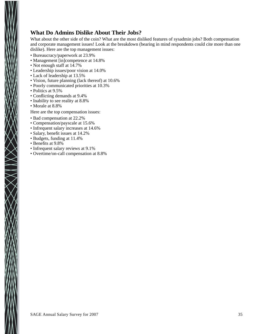#### **What Do Admins Dislike About Their Jobs?**

What about the other side of the coin? What are the most disliked features of sysadmin jobs? Both compensation and corporate management issues! Look at the breakdown (bearing in mind respondents could cite more than one dislike). Here are the top management issues:

- Bureaucracy/paperwork at 23.9%
- Management [in]competence at 14.8%
- Not enough staff at 14.7%
- Leadership issues/poor vision at 14.0%
- Lack of leadership at 13.5%
- Vision, future planning (lack thereof) at 10.6%
- Poorly communicated priorities at 10.3%
- Politics at 9.5%
- Conflicting demands at 9.4%
- Inability to see reality at 8.8%
- Morale at 8.8%
- Here are the top compensation issues:
- Bad compensation at 22.2%
- Compensation/payscale at 15.6%
- Infrequent salary increases at 14.6%
- Salary, benefit issues at 14.2%
- Budgets, funding at 11.4%
- Benefits at 9.8%

 $\bigtimes$ 

- Infrequent salary reviews at 9.1%
- Overtime/on-call compensation at 8.8%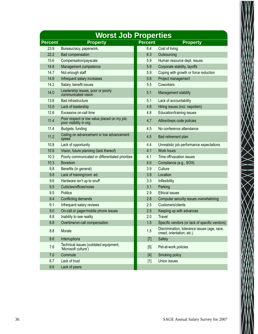|                | <b>Worst Job Properties</b>                                            |                |                                                                           |
|----------------|------------------------------------------------------------------------|----------------|---------------------------------------------------------------------------|
| <b>Percent</b> | <b>Property</b>                                                        | <b>Percent</b> | <b>Property</b>                                                           |
| 23.9<br>22.2   | Bureaucracy, paperwork,                                                | 6.4            | Cost of living                                                            |
|                | <b>Bad compensation</b>                                                | 6.3            | Outsourcing                                                               |
| 15.6           | Compensation/payscale                                                  | 5.9            | Human resource dept. issues                                               |
| 14.8           | Management competence                                                  | 5.9            | Corporate stability, layoffs                                              |
| 14.7           | Not enough staff                                                       | 5.9            | Coping with growth or force reduction                                     |
| 14.6           | Infrequent salary increases                                            | 5.6            | Project management                                                        |
| 14.2           | Salary, benefit issues                                                 | 5.5            | Coworkers                                                                 |
| 14.0           | Leadership issues, poor or poorly<br>communicated vision               | 5.1            | Management stability                                                      |
| 13.8           | Bad infrastructure                                                     | 5.1            | Lack of accountability                                                    |
| 13.5           | Lack of leadership                                                     | 4.8            | Hiring issues (incl. nepotism)                                            |
| 12.6           | Excessive on-call time                                                 | 4.8            | Education/training issues                                                 |
| 11.4           | Poor respect or low value placed on my job;<br>poor visibility in org. | 4.7            | Attire/dress code policies                                                |
| 11.4           | Budgets, funding                                                       | 4.5            | No conference attendance                                                  |
| 11.2           | Ceiling on advancement or low advancement<br>speed                     | 4.5            | Bad retirement plan                                                       |
| 10.8           | Lack of opportunity                                                    | 4.4            | Unrealistic job performance expectations                                  |
| 10.6           | Vision, future planning (lack thereof)                                 | 4.1            | <b>Work hours</b>                                                         |
| 10.3           | Poorly communicated or differentiated priorities                       | 4.1            | Time off/vacation issues                                                  |
| 10.3           | <b>Boredom</b>                                                         | 4.0            | Compliance (e.g., SOX)                                                    |
| 9.8            | Benefits (in general)                                                  | 3.9            | Culture                                                                   |
| 9.8            | Lack of training/cont. ed.                                             | 3.9            | Location                                                                  |
| 9.6            | Hardware isn't up to snuff                                             | 3.3            | Inflexibility                                                             |
| 9.5            | Cubicles/offices/noise                                                 | 3.1            | Parking                                                                   |
| 9.5            | <b>Politics</b>                                                        | 2.9            | <b>Ethical issues</b>                                                     |
| 9.4            | Conflicting demands                                                    | 2.8            | Computer security issues overwhelming                                     |
| 9.1            | Infrequent salary reviews                                              | 2.5            | Customers/clients                                                         |
| 9.0            | On-call or pager/mobile phone issues                                   | 2.5            | Keeping up with advances                                                  |
| 8.8            | Inability to see reality                                               | 2.0            | Travel                                                                    |
| 8.8            | Overtime/on-call compensation                                          | 1.5            | Specific vendors (or lack of specific vendors)                            |
| 8.8            | Morale                                                                 | 1.5            | Discrimination, tolerance issues (age, race,<br>creed, orientation, etc.) |
| 8.6            | Interruptions                                                          | $[7]$          | Safety                                                                    |
| 7.6            | Technical issues (outdated equipment,<br>'Microsoft culture')          | [5]            | Pet-at-work policies                                                      |
| 7.0            | Commute                                                                | $[4]$          | Smoking policy                                                            |
| 6.7            | Lack of trust                                                          | $[1]$          | Union issues                                                              |
| 6.6            | Lack of peers                                                          |                |                                                                           |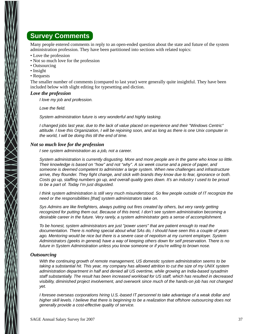## **Survey Comments**

Many people entered comments in reply to an open-ended question about the state and future of the system administration profession. They have been partitioned into sections with related topics:

- Love the profession
- Not so much love for the profession
- Outsourcing
- Insight
- Requests

The smaller number of comments (compared to last year) were generally quite insightful. They have been included below with slight editing for typesetting and diction.

#### *Love the profession*

*I love my job and profession.*

*Love the field.*

System administration future is very wonderful and highly tasking.

*I changed jobs last year, due to the lack of value placed on experience and their "Windows Centric" attitude. I love this Organization, I will be rejoining soon, and as long as there is one Unix computer in the wor ld, I will be doing this till the end of time.*

#### *Not so much love for the profession*

*I see system administration as a job, not a career.*

*System administration is currently disgusting. More and more people are in the game who know so little. Their knowledge is based on ''how'' and not ''why''. A six week course and a piece of paper, and* someone is deemed competent to administer a large system. When new challenges and infrastructure *arr ive, they flounder. They fight change, and stick with brands they know due to fear, ignorance or both. Costs go up, staffing numbers go up, and overall quality goes down. It's an industry I used to be proud to be a part of. Today I'm just disgusted.*

*I think system administration is still very much misunderstood. So few people outside of IT recognize the need or the responsibilities [that] system administrators take on.*

*Sys Admins are like firefighters, always putting out fires created by others, but very rarely getting recognized for putting them out. Because of this trend, I don't see system administration becoming a desirable career in the future. Very rarely, a system administrator gets a sense of accomplishment.* 

*To be honest, system administrators are just "power users" that are patient enough to read the documentation. There is nothing special about what SAs do, I should have seen this a couple of years* ago. Mentoring would be nice but there is a severe case of nepotism at my current employer. System *Administrators (geeks in general) have a way of keeping others down for self preservation. There is no future in System Administration unless you know someone or if you're willing to brown nose.*

#### *Outsourcing*

*With the continuing growth of remote management, US domestic system administration seems to be* taking a substantial hit. This year, my company has allowed attrition to cut the size of my UNIX system *administration department in half and denied all US overtime, while growing an India-based sysadmin* staff substantially. The result has been increased workload for US staff, which has resulted in decreased *visibility, diminished project involvement, and overwork since much of the hands-on job has not changed yet.*

*I foresee overseas corporations hiring U.S.-based IT personnel to take advantage of a weak dollar and higher skill levels. I believe that there is beginning to be a realization that offshore outsourcing does not generally provide a cost-effective quality of service.*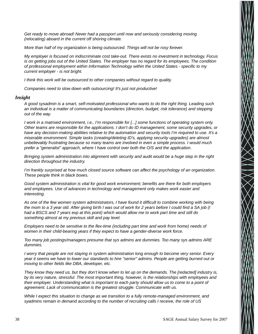*Get ready to move abroad! Never had a passport until now and seriously considering moving (relocating) aboard in the current off shoring climate.*

*More than half of my organization is being outsourced. Things will not be rosy forever.*

*My employer is focused on indiscriminate cost take-out. There exists no investment in technology. Focus is on getting jobs out of the United States. The employer has no regard for its employees. The condition* of professional employment within Information Technology within the United States - specific to my *current employer - is not bright.*

*I think this work will be outsourced to other companies without regard to quality.* 

*Companies need to slow down with outsourcing! It's just not productive!*

#### *Insight*

*A good sysadmin is a smart, self-motivated professional who wants to do the right thing. Leading such an individual is a matter of communicating boundaries (direction, budget, risk tolerance) and stepping out of the way.*

*I* work in a matrixed environment, i.e., I'm responsible for [...] some functions of operating system only. *Other teams are responsible for the applications. I don't do ID management, some security upgrades, or have any decision-making abilities relative to the automation and security tools I'm required to use. It's a miserable environment. Simple tasks (creating/deleting ID's, applying security upgrades) are almost unbelievably frustrating because so many teams are involved in even a simple process. I would much prefer a "generalist" approach, where I have control over both the O/S and the application.*

*Bringing system administration into alignment with security and audit would be a huge step in the right direction throughout the industry.*

*I'm frankly surprised at how much closed source software can affect the psychology of an organization. These people think in black boxes.*

Good system administration is vital for good work environment; benefits are there for both employers *and employees. Use of advances in technology and management only makes work easier and interesting.*

As one of the few women system administrators, I have found it difficult to combine working with being *the mom to a 3 year old. After giving birth I was out of work for 2 years before I could find a SA job (I* had a BSCS and 7 years exp at this point) which would allow me to work part time and still do something almost at my previous skill and pay level.

*Employers need to be sensitive to the flex-time (including part time and work from home) needs of women in their child-bearing years if they expect to have a gender-diverse work force.* 

*Too many job postings/managers presume that sys admins are dummies. Too many sys admins ARE dummies.*

*I* worry that people are not staying in system administration long enough to become very senior. Every *year it seems we have to lower our standards to hire "senior" admins. People are getting burned out or moving to other fields like DBA, developer, etc.*

*They know they need us, but they don't know when to let up on the demands. The [redacted] industry is,* by its very nature, stressful. The most important thing, however, is the relationships with employees and *their employer. Understanding what is important to each party should allow us to come to a point of agreement. Lack of communication is the greatest struggle. Communicate with us.*

*While I expect this situation to change as we transition to a fully remote-managed environment, and syadmins remain in demand according to the number of recruiting calls I receive, the role of US*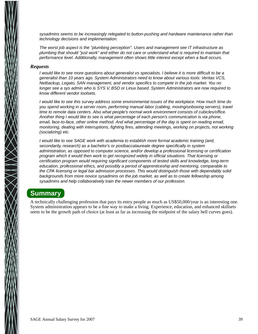*sysadmins seems to be increasingly relegated to button-pushing and hardware maintenance rather than technology decisions and implementation.*

*The worst job aspect is the "plumbing perception". Users and management see IT infrastructure as* plumbing that should "just work" and either do not care or understand what is required to maintain that *perfor mance level. Additionally, management often shows little interest except when a fault occurs.*

#### *Requests*

*I would like to see more questions about generalist vs specialists. I believe it is more difficult to be a generalist than 10 years ago. System Administrators need to know about var ious tools: Ver itas VCS, Netbackup, Legato, SAN management, and vendor specifics to compete in the job market. You no longer see a sys admin who is SYS V, BSD or Linux based. System Administrators are now required to know different vendor toolsets.*

*I* would like to see this survey address some environmental issues of the workplace. How much time do *you spend wor king in a server room, perfor ming manual labor (cabling, moving/unboxing servers), travel* time to remote data centers. Also what people's normal work environment consists of cubicles/office. *Another thing I would like to see is what percentage of each person's communication is via phone, email, face-to-face, other online method. And what percentage of the day is spent on reading email, monitoring, dealing with interruptions, fighting fires, attending meetings, working on projects, not working (socializing) etc.*

*I* would like to see SAGE work with academia to establish more formal academic training (and, *secondar ily, research) as a bachelor's or postbaccalaureate degree specifically in system administration, as opposed to computer science, and/or develop a professional licensing or certification* program which it would then work to get recognized widely in official situations. That licensing or *certification program would requiring significant components of tested skills and knowledge, long-term education, professional ethics, and possibly a period of apprenticeship and mentoring, comparable to the CPA licensing or legal bar admission processes. This would distinguish those with dependably solid backgrounds from more novice sysadmins on the job market, as well as to create fellowship among sysadmins and help collaboratively train the newer members of our profession.*

#### **Summary**

A technically challenging profession that pays its entry people as much as US\$50,000/year is an interesting one. System administration appears to be a fine way to make a living. Experience, education, and enhanced skillsets seem to be the growth path of choice (at least as far as increasing the midpoint of the salary bell curves goes).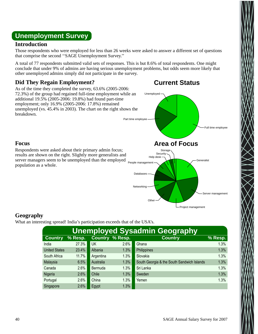## **Unemployment Survey**

#### **Introduction**

Those respondents who were employed for less than 26 weeks were asked to answer a different set of questions that comprise the second ''SAGE Unemployment Survey.''

A total of 77 respondents submitted valid sets of responses. This is but 8.6% of total respondents. One might conclude that under 9% of admins are having serious unemployment problems, but odds seem more likely that other unemployed admins simply did not participate in the survey.

#### **Did They Regain Employment?**

As of the time they completed the survey, 63.6% (2005-2006: 72.3%) of the group had regained full-time employment while an additional 19.5% (2005-2006: 19.8%) had found part-time employment; only 16.9% (2005-2006: 17.8%) remained unemployed (vs. 45.4% in 2003). The chart on the right shows the breakdown.



#### **Focus**

server managers seem to be unemployed than the employed <sub>People management</sub> Respondents were asked about their primary admin focus; results are shown on the right. Slightly more generalists and population as a whole.

#### **Geography**

What an interesting spread! India's participation exceeds that of the USA's.

| <b>Unemployed Sysadmin Geography</b> |         |                |                        |                                            |         |  |  |  |
|--------------------------------------|---------|----------------|------------------------|--------------------------------------------|---------|--|--|--|
| <b>Country</b>                       | % Resp. |                | <b>Country % Resp.</b> | <b>Country</b>                             | % Resp. |  |  |  |
| India                                | 27.3%   | UK             | 2.6%                   | Ghana                                      | 1.3%    |  |  |  |
| <b>United States</b>                 | 23.4%   | Albania        | 1.3%                   | Philippines                                | 1.3%    |  |  |  |
| South Africa                         | 11.7%   | Argentina      | 1.3%                   | Slovakia                                   | 1.3%    |  |  |  |
| Malaysia                             | 6.5%    | Australia      | 1.3%                   | South Georgia & the South Sandwich Islands | 1.3%    |  |  |  |
| Canada                               | 2.6%    | <b>Bermuda</b> | 1.3%                   | Sri Lanka                                  | 1.3%    |  |  |  |
| Nigeria                              | 2.6%    | Chile          | 1.3%                   | Sweden                                     | 1.3%    |  |  |  |
| Portugal                             | 2.6%    | China          | 1.3%                   | Yemen                                      | 1.3%    |  |  |  |
| Singapore                            | 2.6%    | Egypt          | 1.3%                   |                                            |         |  |  |  |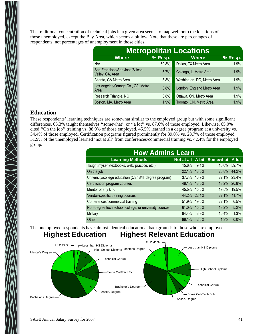The traditional concentration of technical jobs in a given area seems to map well onto the locations of those unemployed, except the Bay Area, which seems a bit low. Note that these are percentages of respondents, not percentages of unemployment in those cities.

| <b>Metropolitan Locations</b>                      |                |                            |         |  |  |  |  |
|----------------------------------------------------|----------------|----------------------------|---------|--|--|--|--|
| <b>Where</b>                                       | <b>% Resp.</b> | <b>Where</b>               | % Resp. |  |  |  |  |
| N/A                                                | 69.8%          | Dallas, TX Metro Area      | 1.9%    |  |  |  |  |
| San Francisco/San Jose/Silicon<br>Valley, CA, Area | 5.7%           | Chicago, IL Metro Area     | 1.9%    |  |  |  |  |
| Atlanta, GA Metro Area                             | 3.8%           | Washington, DC, Metro Area | 1.9%    |  |  |  |  |
| Los Angeles/Orange Co., CA, Metro<br>Area          | 3.8%           | London, England Metro Area | 1.9%    |  |  |  |  |
| Research Triangle, NC                              | 3.8%           | Ottawa, ON, Metro Area     | 1.9%    |  |  |  |  |
| Boston, MA, Metro Area                             | 1.9%           | Toronto, ON, Metro Area    | 1.9%    |  |  |  |  |

#### **Education**

These respondents' learning techniques are somewhat similar to the employed group but with some significant differences. 65.3% taught themselves ''somewhat'' or ''a lot'' vs. 87.6% of those employed. Likewise, 65.0% cited ''On the job'' training vs. 88.9% of those employed. 45.5% learned in a degree program at a university vs. 34.4% of those employed. Certification programs figured prominently for 39.0% vs. 28.7% of those employed. 51.9% of the unemployed learned 'not at all' from conferences/commercial training vs. 42.4% for the employed group.

| <b>How Admins Learn</b>                                |             |       |                                 |       |  |  |  |
|--------------------------------------------------------|-------------|-------|---------------------------------|-------|--|--|--|
| <b>Learning Methods</b>                                |             |       | Not at all A bit Somewhat A lot |       |  |  |  |
| Taught myself (textbooks, web, practice, etc.)         | 15.6%       | 9.1%  | 15.6%                           | 59.7% |  |  |  |
| On the job                                             | 22.1%       | 13.0% | 20.8%                           | 44.2% |  |  |  |
| University/college education (CS/IS/IT degree program) | $37.7\%$    | 16.9% | 22.1% 23.4%                     |       |  |  |  |
| Certification program courses                          | 48.1%       | 13.0% | 18.2%                           | 20.8% |  |  |  |
| Mentor of any kind                                     | 45.5%       | 15.6% | 19.5%                           | 19.5% |  |  |  |
| Vendor-specific training courses                       | 44.2% 22.1% |       | 22.1%                           | 11.7% |  |  |  |
| Conferences/commercial training                        | 51.9%       | 19.5% | 22.1%                           | 6.5%  |  |  |  |
| Non-degree tech school, college, or university courses | 61.0%       | 15.6% | 18.2%                           | 5.2%  |  |  |  |
| Military                                               | 84.4%       | 3.9%  | 10.4%                           | 1.3%  |  |  |  |
| Other                                                  | 96.1%       | 2.6%  | 1.3%                            | 0.0%  |  |  |  |

The unemployed respondents have almost identical educational backgrounds to those who are employed.

#### **Highest Education Highest Relevant Education**

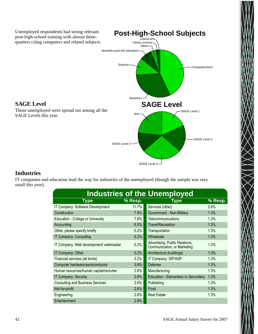

#### **Industries**

IT companies and education lead the way for industries of the unemployed (though the sample was very small this year).

|                                          |         | <b>Industries of the Unemployed</b>                           |         |
|------------------------------------------|---------|---------------------------------------------------------------|---------|
| Type                                     | % Resp. | Type                                                          | % Resp. |
| IT Company: Software Development         | 11.7%   | Services (other)                                              | 2.6%    |
| Construction                             | $7.8\%$ | Government - Non-Military                                     | 1.3%    |
| <b>Education - College or University</b> | 7.8%    | Telecommunications                                            | 1.3%    |
| Accounting                               | 6.5%    | <b>Travel/Recreation</b>                                      | 1.3%    |
| Other, please specify briefly            | 5.2%    | Transportation                                                | 1.3%    |
| IT Company: Consulting                   | $5.2\%$ | Wholesale                                                     | 1.3%    |
| IT Company: Web development/ webmaster   | 5.2%    | Advertising, Public Relations,<br>Communication, or Marketing | 1.3%    |
| IT Company: Other                        | 5.2%    | Architecture (buildings)                                      | 1.3%    |
| Financial services (all kinds)           | 5.2%    | IT Company: ISP/ASP                                           | 1.3%    |
| Computer hardware/semiconductor          | 3.9%    | <b>Defense</b>                                                | 1.3%    |
| Human resources/human capital/recruiter  | $2.6\%$ | Manufacturing                                                 | 1.3%    |
| <b>IT Company: Security</b>              | $2.6\%$ | <b>Education - Elementary or Secondary</b>                    | 1.3%    |
| <b>Consulting and Business Services</b>  | $2.6\%$ | Publishing                                                    | 1.3%    |
| Not-for-profit                           | 2.6%    | Food                                                          | 1.3%    |
| Engineering                              | 2.6%    | <b>Real Estate</b>                                            | 1.3%    |
| Entertainment                            | 2.6%    |                                                               |         |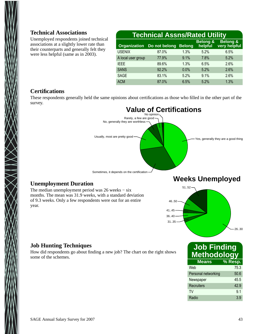#### **Technical Associations**

Unemployed respondents joined technical associations at a slightly lower rate than their counterparts and generally felt they were less helpful (same as in 2003).

| <b>Technical Assns/Rated Utility</b> |                                   |               |                                |                                     |  |  |
|--------------------------------------|-----------------------------------|---------------|--------------------------------|-------------------------------------|--|--|
|                                      | <b>Organization</b> Do not belong | <b>Belong</b> | <b>Belong &amp;</b><br>helpful | <b>Belong &amp;</b><br>very helpful |  |  |
| <b>USENIX</b>                        | 87.0%                             | 1.3%          | 5.2%                           | 6.5%                                |  |  |
| A local user group                   | 77.9%                             | 9.1%          | 7.8%                           | 5.2%                                |  |  |
| <b>IEEE</b>                          | 89.6%                             | 1.3%          | 6.5%                           | 2.6%                                |  |  |
| <b>SANS</b>                          | 92.2%                             | 0.0%          | 5.2%                           | 2.6%                                |  |  |
| <b>SAGE</b>                          | 83.1%                             | 5.2%          | 9.1%                           | 2.6%                                |  |  |
| <b>ACM</b>                           | 87.0%                             | 6.5%          | 5.2%                           | 1.3%                                |  |  |

#### **Certifications**

These respondents generally held the same opinions about certifications as those who filled in the other part of the survey.



#### **Unemployment Duration**

The median unemployment period was 26 weeks – six months. The mean was 31.9 weeks, with a standard deviation of 9.3 weeks. Only a few respondents were out for an entire year.





#### **Job Hunting Techniques**

How did respondents go about finding a new job? The chart on the right shows some of the schemes.